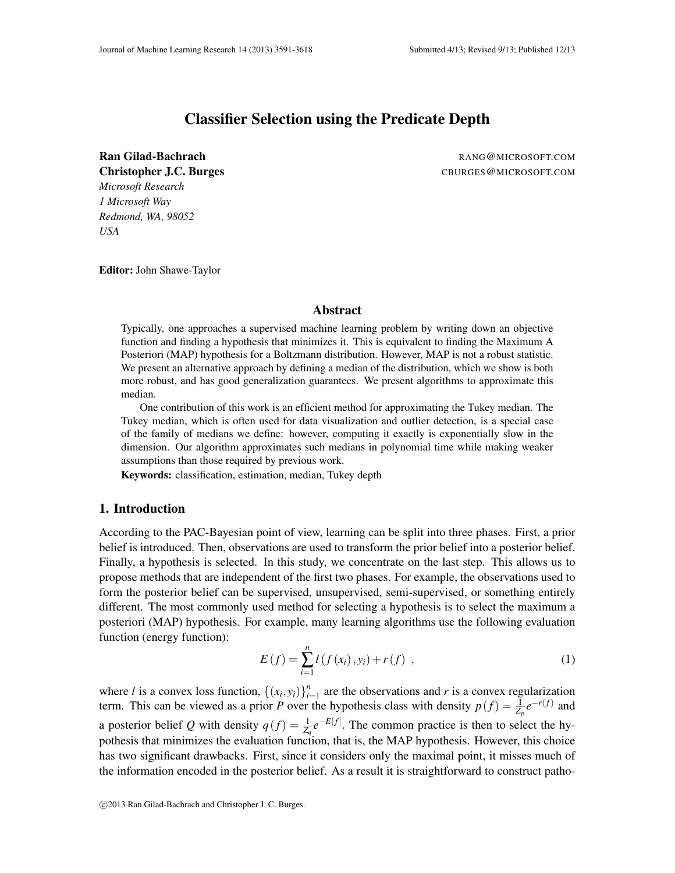# Classifier Selection using the Predicate Depth

Ran Gilad-Bachrach RANG@MICROSOFT.COM *Microsoft Research 1 Microsoft Way Redmond, WA, 98052 USA*

Christopher J.C. Burges CBURGES@MICROSOFT.COM

Editor: John Shawe-Taylor

# Abstract

Typically, one approaches a supervised machine learning problem by writing down an objective function and finding a hypothesis that minimizes it. This is equivalent to finding the Maximum A Posteriori (MAP) hypothesis for a Boltzmann distribution. However, MAP is not a robust statistic. We present an alternative approach by defining a median of the distribution, which we show is both more robust, and has good generalization guarantees. We present algorithms to approximate this median.

One contribution of this work is an efficient method for approximating the Tukey median. The Tukey median, which is often used for data visualization and outlier detection, is a special case of the family of medians we define: however, computing it exactly is exponentially slow in the dimension. Our algorithm approximates such medians in polynomial time while making weaker assumptions than those required by previous work.

Keywords: classification, estimation, median, Tukey depth

# 1. Introduction

According to the PAC-Bayesian point of view, learning can be split into three phases. First, a prior belief is introduced. Then, observations are used to transform the prior belief into a posterior belief. Finally, a hypothesis is selected. In this study, we concentrate on the last step. This allows us to propose methods that are independent of the first two phases. For example, the observations used to form the posterior belief can be supervised, unsupervised, semi-supervised, or something entirely different. The most commonly used method for selecting a hypothesis is to select the maximum a posteriori (MAP) hypothesis. For example, many learning algorithms use the following evaluation function (energy function):

$$
E(f) = \sum_{i=1}^{n} l(f(x_i), y_i) + r(f) , \qquad (1)
$$

where *l* is a convex loss function,  $\{(x_i, y_i)\}_{i=1}^n$  $\sum_{i=1}^{n}$  are the observations and *r* is a convex regularization term. This can be viewed as a prior *P* over the hypothesis class with density  $p(f) = \frac{1}{Z_p}e^{-r(f)}$  and a posterior belief *Q* with density  $q(f) = \frac{1}{Z_q}e^{-E[f]}$ . The common practice is then to select the hypothesis that minimizes the evaluation function, that is, the MAP hypothesis. However, this choice has two significant drawbacks. First, since it considers only the maximal point, it misses much of the information encoded in the posterior belief. As a result it is straightforward to construct patho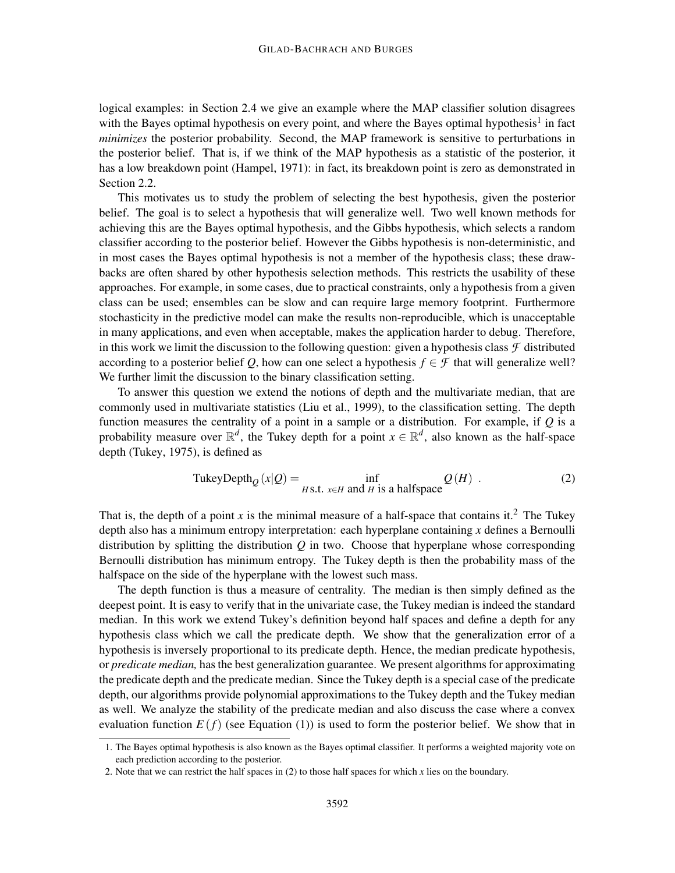logical examples: in Section 2.4 we give an example where the MAP classifier solution disagrees with the Bayes optimal hypothesis on every point, and where the Bayes optimal hypothesis<sup>1</sup> in fact *minimizes* the posterior probability. Second, the MAP framework is sensitive to perturbations in the posterior belief. That is, if we think of the MAP hypothesis as a statistic of the posterior, it has a low breakdown point (Hampel, 1971): in fact, its breakdown point is zero as demonstrated in Section 2.2.

This motivates us to study the problem of selecting the best hypothesis, given the posterior belief. The goal is to select a hypothesis that will generalize well. Two well known methods for achieving this are the Bayes optimal hypothesis, and the Gibbs hypothesis, which selects a random classifier according to the posterior belief. However the Gibbs hypothesis is non-deterministic, and in most cases the Bayes optimal hypothesis is not a member of the hypothesis class; these drawbacks are often shared by other hypothesis selection methods. This restricts the usability of these approaches. For example, in some cases, due to practical constraints, only a hypothesis from a given class can be used; ensembles can be slow and can require large memory footprint. Furthermore stochasticity in the predictive model can make the results non-reproducible, which is unacceptable in many applications, and even when acceptable, makes the application harder to debug. Therefore, in this work we limit the discussion to the following question: given a hypothesis class  $\mathcal F$  distributed according to a posterior belief *Q*, how can one select a hypothesis  $f \in \mathcal{F}$  that will generalize well? We further limit the discussion to the binary classification setting.

To answer this question we extend the notions of depth and the multivariate median, that are commonly used in multivariate statistics (Liu et al., 1999), to the classification setting. The depth function measures the centrality of a point in a sample or a distribution. For example, if *Q* is a probability measure over  $\mathbb{R}^d$ , the Tukey depth for a point  $x \in \mathbb{R}^d$ , also known as the half-space depth (Tukey, 1975), is defined as

TukeyDepth<sub>Q</sub> 
$$
(x|Q) = \inf_{H \text{S.t. } x \in H \text{ and } H \text{ is a halfspace}} Q(H)
$$
. (2)

That is, the depth of a point *x* is the minimal measure of a half-space that contains it.<sup>2</sup> The Tukey depth also has a minimum entropy interpretation: each hyperplane containing *x* defines a Bernoulli distribution by splitting the distribution *Q* in two. Choose that hyperplane whose corresponding Bernoulli distribution has minimum entropy. The Tukey depth is then the probability mass of the halfspace on the side of the hyperplane with the lowest such mass.

The depth function is thus a measure of centrality. The median is then simply defined as the deepest point. It is easy to verify that in the univariate case, the Tukey median is indeed the standard median. In this work we extend Tukey's definition beyond half spaces and define a depth for any hypothesis class which we call the predicate depth. We show that the generalization error of a hypothesis is inversely proportional to its predicate depth. Hence, the median predicate hypothesis, or *predicate median,* has the best generalization guarantee. We present algorithms for approximating the predicate depth and the predicate median. Since the Tukey depth is a special case of the predicate depth, our algorithms provide polynomial approximations to the Tukey depth and the Tukey median as well. We analyze the stability of the predicate median and also discuss the case where a convex evaluation function  $E(f)$  (see Equation (1)) is used to form the posterior belief. We show that in

<sup>1.</sup> The Bayes optimal hypothesis is also known as the Bayes optimal classifier. It performs a weighted majority vote on each prediction according to the posterior.

<sup>2.</sup> Note that we can restrict the half spaces in (2) to those half spaces for which *x* lies on the boundary.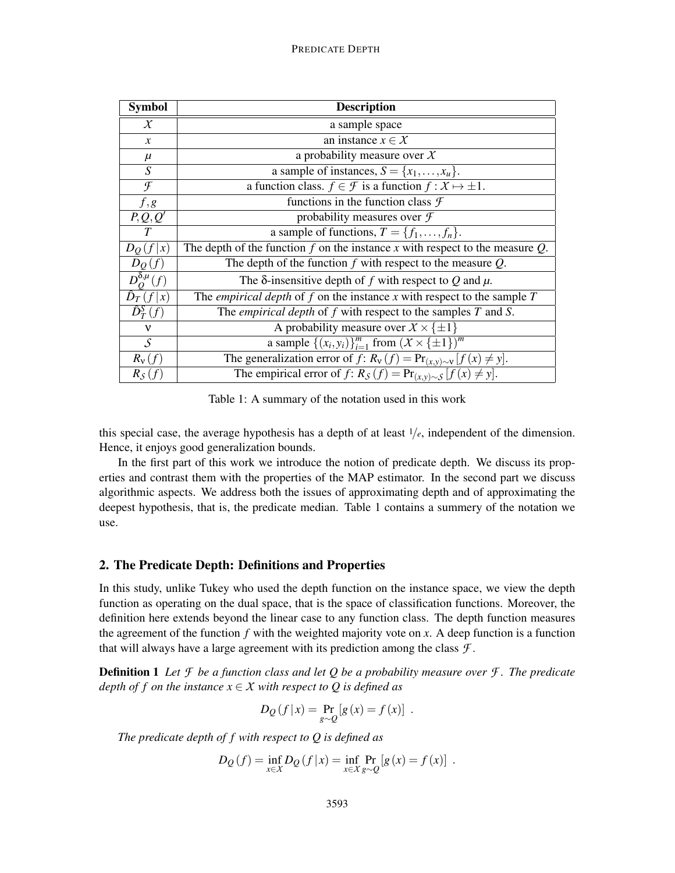| <b>Symbol</b>               | <b>Description</b>                                                                       |
|-----------------------------|------------------------------------------------------------------------------------------|
| $\chi$                      | a sample space                                                                           |
| $\mathcal{X}$               | an instance $x \in \mathcal{X}$                                                          |
| $\mu$                       | a probability measure over $X$                                                           |
| $\overline{S}$              | a sample of instances, $S = \{x_1, \ldots, x_u\}.$                                       |
| $\mathcal{F}$               | a function class. $f \in \mathcal{F}$ is a function $f : X \mapsto \pm 1$ .              |
| f, g                        | functions in the function class $\mathcal F$                                             |
| P,Q,Q'                      | probability measures over $\mathcal F$                                                   |
| $\tau$                      | a sample of functions, $T = \{f_1, \ldots, f_n\}.$                                       |
| $D_O(f x)$                  | The depth of the function $f$ on the instance $x$ with respect to the measure $Q$ .      |
| $D_Q(f)$                    | The depth of the function $f$ with respect to the measure $Q$ .                          |
| $D_0^{\delta,\mu}(f)$       | The $\delta$ -insensitive depth of f with respect to Q and $\mu$ .                       |
| $\hat{D}_T(f x)$            | The <i>empirical depth</i> of $f$ on the instance $x$ with respect to the sample $T$     |
| $\overline{\hat{D}_T^S}(f)$ | The <i>empirical depth</i> of $f$ with respect to the samples $T$ and $S$ .              |
| $\mathbf{v}$                | A probability measure over $\overline{X} \times {\{\pm 1\}}$                             |
| $\mathcal{S}$               | a sample $\{(x_i, y_i)\}_{i=1}^m$ from $(X \times {\pm 1})^m$                            |
| $R_{\rm v}(f)$              | The generalization error of $f$ : $R_v(f) = Pr_{(x,y)\sim v} [f(x) \neq y].$             |
| $R_{\mathcal{S}}(f)$        | The empirical error of $f: R_{\mathcal{S}}(f) = Pr_{(x,y)\sim\mathcal{S}}[f(x) \neq y].$ |

Table 1: A summary of the notation used in this work

this special case, the average hypothesis has a depth of at least  $1/e$ , independent of the dimension. Hence, it enjoys good generalization bounds.

In the first part of this work we introduce the notion of predicate depth. We discuss its properties and contrast them with the properties of the MAP estimator. In the second part we discuss algorithmic aspects. We address both the issues of approximating depth and of approximating the deepest hypothesis, that is, the predicate median. Table 1 contains a summery of the notation we use.

# 2. The Predicate Depth: Definitions and Properties

In this study, unlike Tukey who used the depth function on the instance space, we view the depth function as operating on the dual space, that is the space of classification functions. Moreover, the definition here extends beyond the linear case to any function class. The depth function measures the agreement of the function  $f$  with the weighted majority vote on  $x$ . A deep function is a function that will always have a large agreement with its prediction among the class *F* .

**Definition 1** Let  $\mathcal{F}$  be a function class and let Q be a probability measure over  $\mathcal{F}$ . The predicate *depth of f on the instance*  $x \in X$  *with respect to Q is defined as* 

$$
D_Q(f|x) = \Pr_{g \sim Q}[g(x) = f(x)] .
$$

*The predicate depth of f with respect to Q is defined as*

$$
D_Q(f) = \inf_{x \in X} D_Q(f | x) = \inf_{x \in X} \Pr_{g \sim Q}[g(x) = f(x)] \; .
$$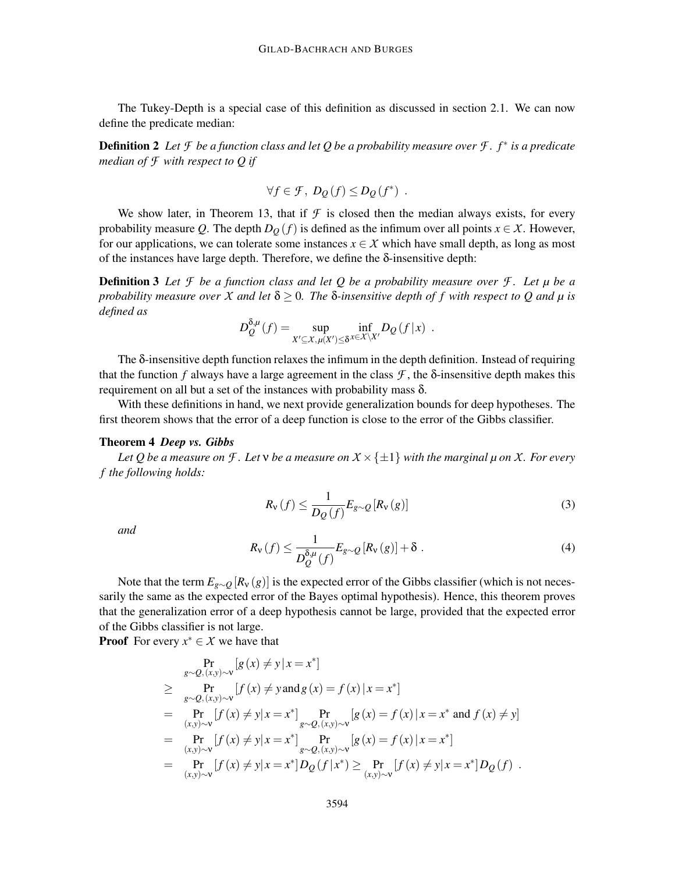The Tukey-Depth is a special case of this definition as discussed in section 2.1. We can now define the predicate median:

Definition 2 *Let F be a function class and let Q be a probability measure over F . f* <sup>∗</sup> *is a predicate median of F with respect to Q if*

$$
\forall f \in \mathcal{F}, \ D_{\mathcal{Q}}(f) \leq D_{\mathcal{Q}}(f^*) \ .
$$

We show later, in Theorem 13, that if  $\mathcal F$  is closed then the median always exists, for every probability measure *Q*. The depth  $D_Q(f)$  is defined as the infimum over all points  $x \in \mathcal{X}$ . However, for our applications, we can tolerate some instances  $x \in \mathcal{X}$  which have small depth, as long as most of the instances have large depth. Therefore, we define the δ-insensitive depth:

Definition 3 *Let F be a function class and let Q be a probability measure over F . Let µ be a probability measure over X and let*  $\delta \geq 0$ *. The*  $\delta$ *-insensitive depth of f* with respect to Q and  $\mu$  is *defined as*

$$
D_Q^{\delta,\mu}(f) = \sup_{X' \subseteq X, \mu(X') \le \delta} \inf_{x \in X \setminus X'} D_Q(f|x) .
$$

The δ-insensitive depth function relaxes the infimum in the depth definition. Instead of requiring that the function *f* always have a large agreement in the class  $\mathcal{F}$ , the  $\delta$ -insensitive depth makes this requirement on all but a set of the instances with probability mass δ.

With these definitions in hand, we next provide generalization bounds for deep hypotheses. The first theorem shows that the error of a deep function is close to the error of the Gibbs classifier.

# Theorem 4 *Deep vs. Gibbs*

*Let* Q be a measure on *F* . Let  $v$  be a measure on  $X \times \{\pm 1\}$  with the marginal  $\mu$  on X. For every *f the following holds:*

$$
R_{\mathbf{v}}(f) \le \frac{1}{D_{Q}(f)} E_{g \sim Q} \left[ R_{\mathbf{v}}(g) \right]
$$
 (3)

*and*

$$
R_{\mathbf{v}}(f) \le \frac{1}{D_{Q}^{\delta,\mu}(f)} E_{g \sim Q} \left[ R_{\mathbf{v}}(g) \right] + \delta \tag{4}
$$

Note that the term  $E_{g \sim Q}[R_v(g)]$  is the expected error of the Gibbs classifier (which is not necessarily the same as the expected error of the Bayes optimal hypothesis). Hence, this theorem proves that the generalization error of a deep hypothesis cannot be large, provided that the expected error of the Gibbs classifier is not large.

**Proof** For every  $x^* \in \mathcal{X}$  we have that

$$
\Pr_{g \sim Q, (x, y) \sim v} [g(x) \neq y | x = x^*]
$$
\n
$$
\geq \Pr_{g \sim Q, (x, y) \sim v} [f(x) \neq y \text{ and } g(x) = f(x) | x = x^*]
$$
\n
$$
= \Pr_{(x, y) \sim v} [f(x) \neq y | x = x^*] \Pr_{g \sim Q, (x, y) \sim v} [g(x) = f(x) | x = x^* \text{ and } f(x) \neq y]
$$
\n
$$
= \Pr_{(x, y) \sim v} [f(x) \neq y | x = x^*] \Pr_{g \sim Q, (x, y) \sim v} [g(x) = f(x) | x = x^*]
$$
\n
$$
= \Pr_{(x, y) \sim v} [f(x) \neq y | x = x^*] D_Q(f | x^*) \geq \Pr_{(x, y) \sim v} [f(x) \neq y | x = x^*] D_Q(f) .
$$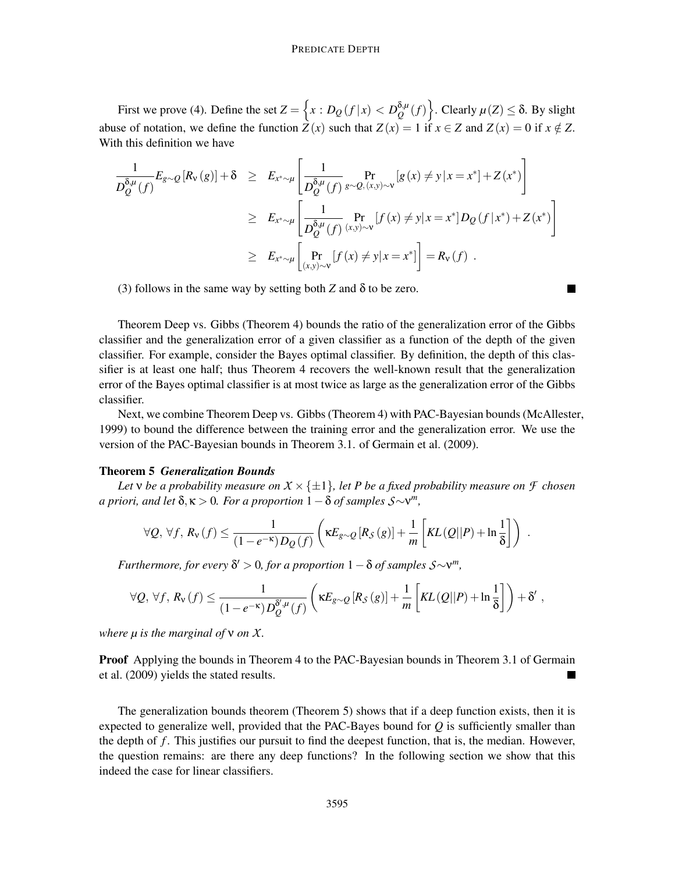First we prove (4). Define the set  $Z = \left\{ x : D_Q(f|x) < D_Q^{\delta,\mu} \right\}$  $\left\{\begin{array}{c} \delta,\mu\\Q\end{array}(f)\right\}$ . Clearly  $\mu(Z) \leq \delta$ . By slight abuse of notation, we define the function  $Z(x)$  such that  $Z(x) = 1$  if  $x \in Z$  and  $Z(x) = 0$  if  $x \notin Z$ . With this definition we have

$$
\frac{1}{D_Q^{\delta,\mu}(f)} E_{g\sim Q}[R_{\nu}(g)] + \delta \geq E_{x^* \sim \mu} \left[ \frac{1}{D_Q^{\delta,\mu}(f)} \Pr_{g\sim Q,(x,y)\sim \nu} [g(x) \neq y | x = x^*] + Z(x^*) \right]
$$
\n
$$
\geq E_{x^* \sim \mu} \left[ \frac{1}{D_Q^{\delta,\mu}(f)} \Pr_{(x,y)\sim \nu} [f(x) \neq y | x = x^*] D_Q(f | x^*) + Z(x^*) \right]
$$
\n
$$
\geq E_{x^* \sim \mu} \left[ \Pr_{(x,y)\sim \nu} [f(x) \neq y | x = x^*] \right] = R_{\nu}(f) .
$$

(3) follows in the same way by setting both *Z* and  $\delta$  to be zero.

$$
\blacksquare
$$

Theorem Deep vs. Gibbs (Theorem 4) bounds the ratio of the generalization error of the Gibbs classifier and the generalization error of a given classifier as a function of the depth of the given classifier. For example, consider the Bayes optimal classifier. By definition, the depth of this classifier is at least one half; thus Theorem 4 recovers the well-known result that the generalization error of the Bayes optimal classifier is at most twice as large as the generalization error of the Gibbs classifier.

Next, we combine Theorem Deep vs. Gibbs (Theorem 4) with PAC-Bayesian bounds (McAllester, 1999) to bound the difference between the training error and the generalization error. We use the version of the PAC-Bayesian bounds in Theorem 3.1. of Germain et al. (2009).

### Theorem 5 *Generalization Bounds*

*Let*  $\nu$  *be a probability measure on*  $X \times \{\pm 1\}$ *, let P be a fixed probability measure on*  $\mathcal F$  *chosen*  $a$  priori, and let  $\delta, \kappa > 0$ . For a proportion  $1 - \delta$  of samples  $S \sim v^m$ ,

$$
\forall Q, \, \forall f, \, R_{\nu}(f) \leq \frac{1}{(1-e^{-\kappa})D_Q(f)} \left( \kappa E_{g \sim Q} \left[ R_S(g) \right] + \frac{1}{m} \left[ KL(Q||P) + \ln \frac{1}{\delta} \right] \right) .
$$

 $$ 

$$
\forall Q, \,\forall f, \, R_{\nu}(f) \leq \frac{1}{(1-e^{-\kappa})D_Q^{\delta',\mu}(f)} \left(\kappa E_{g\sim Q} \left[R_S\left(g\right)\right]+\frac{1}{m}\left[KL\left(Q||P\right)+\ln\frac{1}{\delta}\right]\right)+\delta'\;,
$$

*where µ is the marginal of* ν *on X.*

**Proof** Applying the bounds in Theorem 4 to the PAC-Bayesian bounds in Theorem 3.1 of Germain et al. (2009) yields the stated results.  $\blacksquare$ 

The generalization bounds theorem (Theorem 5) shows that if a deep function exists, then it is expected to generalize well, provided that the PAC-Bayes bound for  $Q$  is sufficiently smaller than the depth of *f* . This justifies our pursuit to find the deepest function, that is, the median. However, the question remains: are there any deep functions? In the following section we show that this indeed the case for linear classifiers.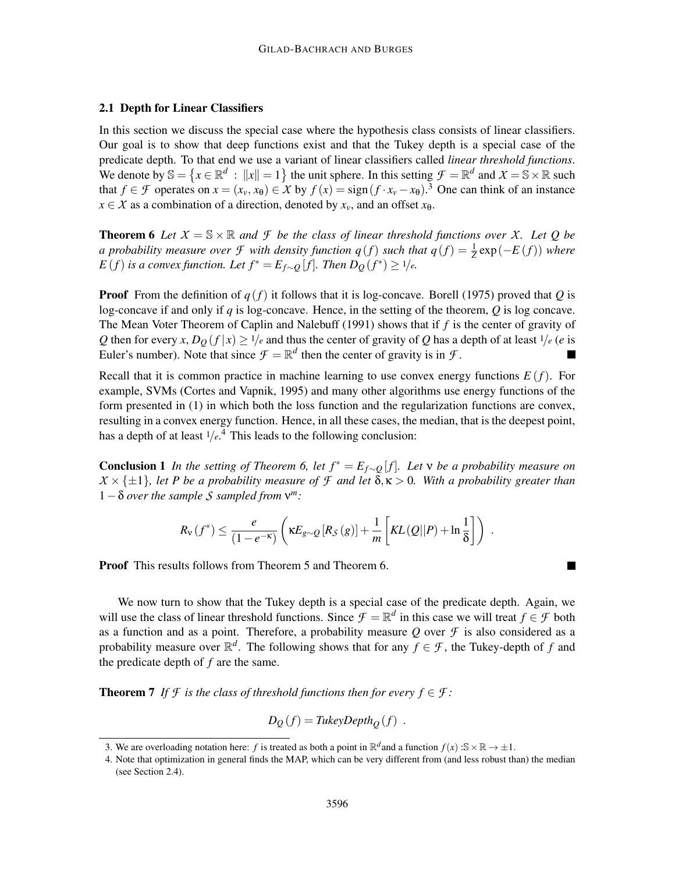# 2.1 Depth for Linear Classifiers

In this section we discuss the special case where the hypothesis class consists of linear classifiers. Our goal is to show that deep functions exist and that the Tukey depth is a special case of the predicate depth. To that end we use a variant of linear classifiers called *linear threshold functions*. We denote by  $\mathbb{S} = \{x \in \mathbb{R}^d : ||x|| = 1\}$  the unit sphere. In this setting  $\mathcal{F} = \mathbb{R}^d$  and  $\mathcal{X} = \mathbb{S} \times \mathbb{R}$  such that  $f \in \mathcal{F}$  operates on  $x = (x_v, x_\theta) \in \mathcal{X}$  by  $f(x) = \text{sign}(f \cdot x_v - x_\theta)$ .<sup>3</sup> One can think of an instance  $x \in X$  as a combination of a direction, denoted by  $x_v$ , and an offset  $x_{\theta}$ .

**Theorem 6** Let  $X = \mathbb{S} \times \mathbb{R}$  and  $\mathcal{F}$  be the class of linear threshold functions over X. Let Q be *a* probability measure over *F* with density function  $q(f)$  such that  $q(f) = \frac{1}{Z} \exp(-E(f))$  where *E* (*f*) is a convex function. Let  $f^* = E_{f\sim Q}[f]$ . Then  $D_Q(f^*) \ge 1/e$ .

**Proof** From the definition of  $q(f)$  it follows that it is log-concave. Borell (1975) proved that *Q* is log-concave if and only if *q* is log-concave. Hence, in the setting of the theorem, *Q* is log concave. The Mean Voter Theorem of Caplin and Nalebuff (1991) shows that if *f* is the center of gravity of *Q* then for every *x*,  $D_0(f|x) \ge 1/e$  and thus the center of gravity of *Q* has a depth of at least  $1/e$  (*e* is Euler's number). Note that since  $\mathcal{F} = \mathbb{R}^d$  then the center of gravity is in  $\mathcal{F}$ .

Recall that it is common practice in machine learning to use convex energy functions  $E(f)$ . For example, SVMs (Cortes and Vapnik, 1995) and many other algorithms use energy functions of the form presented in (1) in which both the loss function and the regularization functions are convex, resulting in a convex energy function. Hence, in all these cases, the median, that is the deepest point, has a depth of at least  $1/e<sup>4</sup>$ . This leads to the following conclusion:

**Conclusion 1** *In the setting of Theorem 6, let*  $f^* = E_{f \sim O}[f]$ *. Let*  $\vee$  *be a probability measure on*  $X \times \{\pm 1\}$ , let P be a probability measure of F and let  $\delta, \kappa > 0$ . With a probability greater than <sup>1</sup>−<sup>δ</sup> *over the sample S sampled from* <sup>ν</sup> *m:*

$$
R_{\nu}(f^*) \leq \frac{e}{(1-e^{-\kappa})} \left( \kappa E_{g\sim Q} \left[ R_{\mathcal{S}}(g) \right] + \frac{1}{m} \left[ KL(Q||P) + \ln \frac{1}{\delta} \right] \right) .
$$

Proof This results follows from Theorem 5 and Theorem 6.

We now turn to show that the Tukey depth is a special case of the predicate depth. Again, we will use the class of linear threshold functions. Since  $\mathcal{F} = \mathbb{R}^d$  in this case we will treat  $f \in \mathcal{F}$  both as a function and as a point. Therefore, a probability measure  $Q$  over  $\mathcal F$  is also considered as a probability measure over  $\mathbb{R}^d$ . The following shows that for any  $f \in \mathcal{F}$ , the Tukey-depth of *f* and the predicate depth of *f* are the same.

**Theorem 7** *If*  $\mathcal{F}$  *is the class of threshold functions then for every*  $f \in \mathcal{F}$ *:* 

$$
D_Q(f) = \text{TukeyDepth}_Q(f) \enspace .
$$

<sup>3.</sup> We are overloading notation here: *f* is treated as both a point in  $\mathbb{R}^d$  and a function  $f(x)$  :S  $\times \mathbb{R} \to \pm 1$ .

<sup>4.</sup> Note that optimization in general finds the MAP, which can be very different from (and less robust than) the median (see Section 2.4).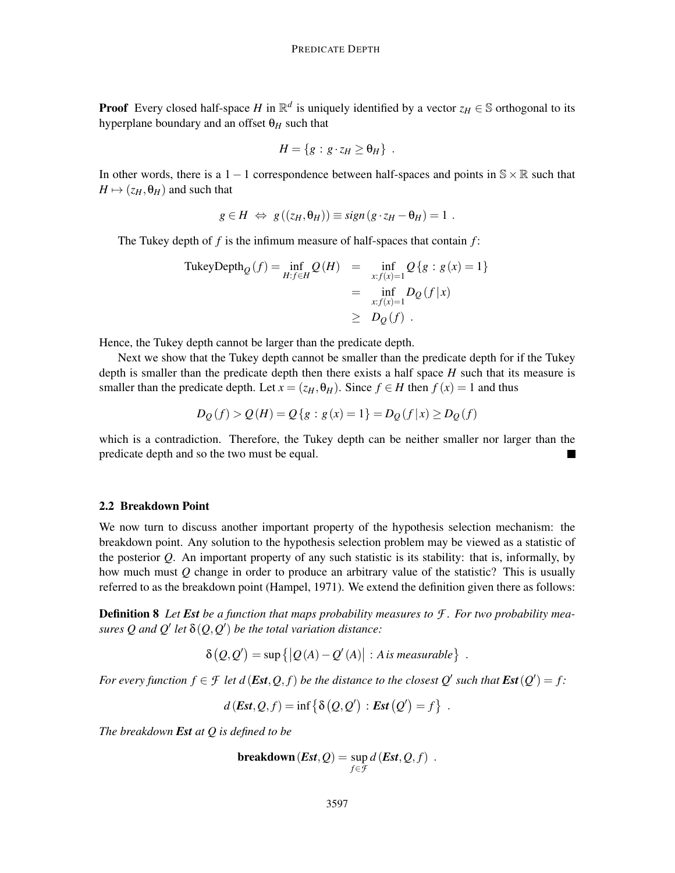**Proof** Every closed half-space *H* in  $\mathbb{R}^d$  is uniquely identified by a vector  $z_H \in \mathbb{S}$  orthogonal to its hyperplane boundary and an offset  $\theta$ <sub>H</sub> such that

$$
H = \{g : g \cdot z_H \geq \theta_H\} .
$$

In other words, there is a 1 – 1 correspondence between half-spaces and points in  $S \times \mathbb{R}$  such that  $H \mapsto (z_H, \theta_H)$  and such that

$$
g \in H \Leftrightarrow g((z_H, \theta_H)) \equiv sign(g \cdot z_H - \theta_H) = 1.
$$

The Tukey depth of *f* is the infimum measure of half-spaces that contain *f* :

$$
\begin{aligned} \text{TukeyDepth}_{Q}(f) &= \inf_{H:f \in H} Q(H) &= \inf_{x:f(x)=1} Q\{g : g(x) = 1\} \\ &= \inf_{x:f(x)=1} D_{Q}(f|x) \\ &\geq D_{Q}(f) \end{aligned}
$$

Hence, the Tukey depth cannot be larger than the predicate depth.

Next we show that the Tukey depth cannot be smaller than the predicate depth for if the Tukey depth is smaller than the predicate depth then there exists a half space *H* such that its measure is smaller than the predicate depth. Let  $x = (z_H, \theta_H)$ . Since  $f \in H$  then  $f(x) = 1$  and thus

$$
D_{Q}(f) > Q(H) = Q\{g : g(x) = 1\} = D_{Q}(f|x) \ge D_{Q}(f)
$$

which is a contradiction. Therefore, the Tukey depth can be neither smaller nor larger than the predicate depth and so the two must be equal.

#### 2.2 Breakdown Point

We now turn to discuss another important property of the hypothesis selection mechanism: the breakdown point. Any solution to the hypothesis selection problem may be viewed as a statistic of the posterior *Q*. An important property of any such statistic is its stability: that is, informally, by how much must *Q* change in order to produce an arbitrary value of the statistic? This is usually referred to as the breakdown point (Hampel, 1971). We extend the definition given there as follows:

Definition 8 *Let Est be a function that maps probability measures to F . For two probability measures* Q and Q' let  $\delta(Q, Q')$  be the total variation distance:

$$
\delta(Q,Q') = \sup \{|Q(A) - Q'(A)| : A \text{ is measurable}\}\
$$

.

.

*For every function*  $f \in \mathcal{F}$  *let d* (*Est*, *Q*, *f*) *be the distance to the closest*  $Q'$  *such that*  $Est(Q') = f$ :

$$
d\left(\text{Est}, Q, f\right) = \inf \left\{ \delta\left(Q, Q'\right) : \text{Est}\left(Q'\right) = f \right\}
$$

*The breakdown Est at Q is defined to be*

 ${\bf b}$ reak ${\bf d}$ own $({\bm E}$ s ${\bm t}, {\bm {\cal Q}}) = {\rm sup}$ *<sup>f</sup>*∈*F*  $d$  (**Est**,  $Q$ ,  $f$ ).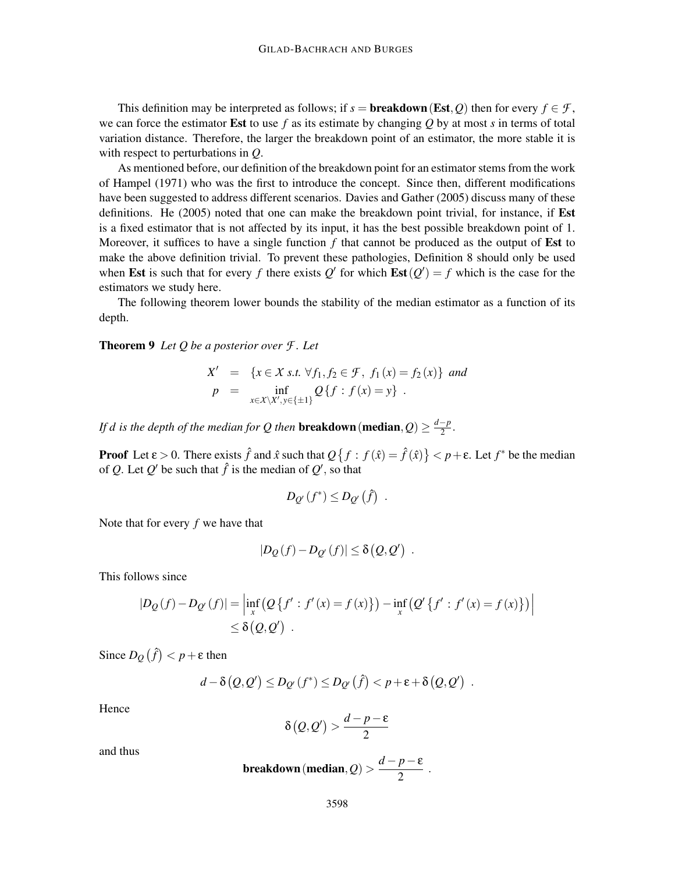This definition may be interpreted as follows; if  $s =$  **breakdown** (Est, Q) then for every  $f \in \mathcal{F}$ , we can force the estimator Est to use *f* as its estimate by changing *Q* by at most *s* in terms of total variation distance. Therefore, the larger the breakdown point of an estimator, the more stable it is with respect to perturbations in *Q*.

As mentioned before, our definition of the breakdown point for an estimator stems from the work of Hampel (1971) who was the first to introduce the concept. Since then, different modifications have been suggested to address different scenarios. Davies and Gather (2005) discuss many of these definitions. He (2005) noted that one can make the breakdown point trivial, for instance, if Est is a fixed estimator that is not affected by its input, it has the best possible breakdown point of 1. Moreover, it suffices to have a single function *f* that cannot be produced as the output of Est to make the above definition trivial. To prevent these pathologies, Definition 8 should only be used when Est is such that for every *f* there exists  $Q'$  for which  $Est(Q') = f$  which is the case for the estimators we study here.

The following theorem lower bounds the stability of the median estimator as a function of its depth.

Theorem 9 *Let Q be a posterior over F . Let*

$$
X' = \{x \in X \text{ s.t. } \forall f_1, f_2 \in \mathcal{F}, f_1(x) = f_2(x)\} \text{ and}
$$
  
\n
$$
p = \inf_{x \in X \setminus X', y \in \{\pm 1\}} Q\{f : f(x) = y\}.
$$

*If d is the depth of the median for Q then breakdown (median,*  $Q$ *)*  $\geq \frac{d-p}{2}$ *.* 

**Proof** Let  $\varepsilon > 0$ . There exists  $\hat{f}$  and  $\hat{x}$  such that  $Q\{f : f(\hat{x}) = \hat{f}(\hat{x})\} < p + \varepsilon$ . Let  $f^*$  be the median of *Q*. Let *Q'* be such that  $\hat{f}$  is the median of *Q'*, so that

$$
D_{Q'}(f^*) \leq D_{Q'}(\hat{f}) .
$$

Note that for every *f* we have that

$$
|D_Q(f)-D_{Q'}(f)|\leq \delta(Q,Q') .
$$

This follows since

$$
|D_{Q}(f) - D_{Q'}(f)| = \left| \inf_{x} (Q\{f' : f'(x) = f(x)\}) - \inf_{x} (Q'\{f' : f'(x) = f(x)\}) \right|
$$
  
\$\leq \delta(Q, Q')\$.

Since  $D_Q(\hat{f}) < p + \varepsilon$  then

$$
d - \delta(Q, Q') \le D_{Q'}(f^*) \le D_{Q'}(\hat{f}) < p + \varepsilon + \delta(Q, Q') .
$$

Hence

$$
\delta\big(\mathcal{Q},\mathcal{Q}'\big) > \frac{d-p-\epsilon}{2}
$$

and thus

breakdown (median, *Q*) > 
$$
\frac{d-p-\epsilon}{2}
$$
.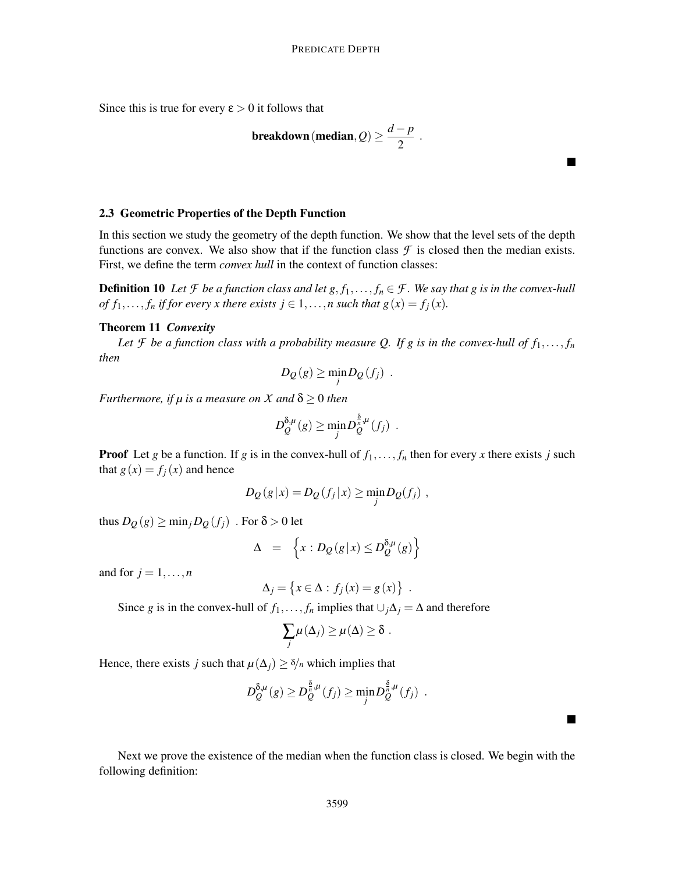Since this is true for every  $\varepsilon > 0$  it follows that

breakdown (median, 
$$
Q
$$
)  $\geq \frac{d-p}{2}$ 

.

 $\blacksquare$ 

 $\blacksquare$ 

### 2.3 Geometric Properties of the Depth Function

In this section we study the geometry of the depth function. We show that the level sets of the depth functions are convex. We also show that if the function class  $\mathcal F$  is closed then the median exists. First, we define the term *convex hull* in the context of function classes:

**Definition 10** *Let*  $\mathcal F$  *be a function class and let*  $g, f_1, \ldots, f_n \in \mathcal F$ *. We say that*  $g$  *is in the convex-hull of*  $f_1$ ,...,  $f_n$  *if for every x there exists*  $j \in 1, \ldots, n$  *such that*  $g(x) = f_j(x)$ *.* 

#### Theorem 11 *Convexity*

Let *f* be a function class with a probability measure Q. If g is in the convex-hull of  $f_1, \ldots, f_n$ *then*

$$
D_Q(g) \geq \min_j D_Q(f_j) .
$$

*Furthermore, if*  $\mu$  *is a measure on X and*  $\delta \geq 0$  *then* 

$$
D_Q^{\delta,\mu}(g) \geq \min_j D_Q^{\frac{\delta}{n},\mu}(f_j) .
$$

**Proof** Let *g* be a function. If *g* is in the convex-hull of  $f_1, \ldots, f_n$  then for every *x* there exists *j* such that  $g(x) = f_j(x)$  and hence

$$
D_Q(g|x) = D_Q(f_j|x) \ge \min_j D_Q(f_j) ,
$$

thus  $D_Q(g) \ge \min_j D_Q(f_j)$ . For  $\delta > 0$  let

$$
\Delta = \left\{ x : D_{Q}(g|x) \le D_{Q}^{\delta,\mu}(g) \right\}
$$

and for  $j = 1, \ldots, n$ 

$$
\Delta_j = \{x \in \Delta : f_j(x) = g(x)\} .
$$

Since *g* is in the convex-hull of *f*<sub>1</sub>,..., *f<sub>n</sub>* implies that  $\bigcup_j \Delta_j = \Delta$  and therefore

$$
\sum_j \mu(\Delta_j) \geq \mu(\Delta) \geq \delta.
$$

Hence, there exists *j* such that  $\mu(\Delta_i) \geq \delta/n$  which implies that

$$
D_Q^{\delta,\mu}(g) \ge D_Q^{\frac{\delta}{n},\mu}(f_j) \ge \min_j D_Q^{\frac{\delta}{n},\mu}(f_j) .
$$

Next we prove the existence of the median when the function class is closed. We begin with the following definition: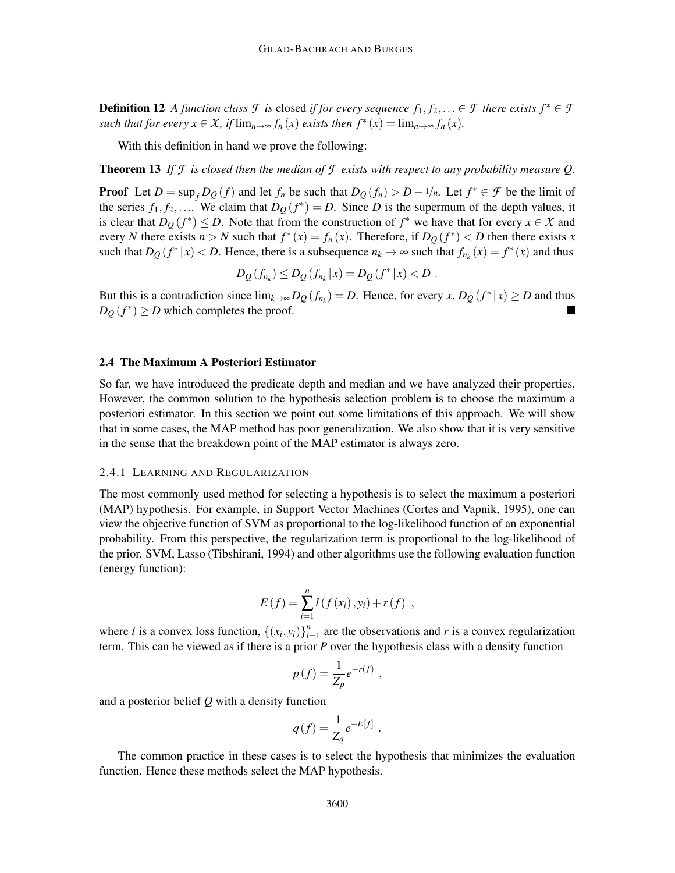**Definition 12** *A function class*  $\mathcal{F}$  *is* closed *if for every sequence*  $f_1, f_2, \ldots \in \mathcal{F}$  *there exists*  $f^* \in \mathcal{F}$ *such that for every*  $x \in X$ *, if*  $\lim_{n \to \infty} f_n(x)$  *exists then*  $f^*(x) = \lim_{n \to \infty} f_n(x)$ *.* 

With this definition in hand we prove the following:

**Theorem 13** If  $\mathcal F$  is closed then the median of  $\mathcal F$  exists with respect to any probability measure Q.

**Proof** Let  $D = \sup_f D_Q(f)$  and let  $f_n$  be such that  $D_Q(f_n) > D - 1/n$ . Let  $f^* \in \mathcal{F}$  be the limit of the series  $f_1, f_2, \ldots$  We claim that  $D_Q(f^*) = D$ . Since *D* is the supermum of the depth values, it is clear that  $D_Q(f^*) \leq D$ . Note that from the construction of  $f^*$  we have that for every  $x \in X$  and every *N* there exists  $n > N$  such that  $f^*(x) = f_n(x)$ . Therefore, if  $D_Q(f^*) < D$  then there exists *x* such that  $D_Q(f^*|x) < D$ . Hence, there is a subsequence  $n_k \to \infty$  such that  $f_{n_k}(x) = f^*(x)$  and thus

$$
D_Q(f_{n_k}) \le D_Q(f_{n_k}|x) = D_Q(f^*|x) < D.
$$

But this is a contradiction since  $\lim_{k\to\infty} D_Q(f_{n_k}) = D$ . Hence, for every *x*,  $D_Q(f^*|x) \ge D$  and thus  $D_Q(f^*) \ge D$  which completes the proof.

### 2.4 The Maximum A Posteriori Estimator

So far, we have introduced the predicate depth and median and we have analyzed their properties. However, the common solution to the hypothesis selection problem is to choose the maximum a posteriori estimator. In this section we point out some limitations of this approach. We will show that in some cases, the MAP method has poor generalization. We also show that it is very sensitive in the sense that the breakdown point of the MAP estimator is always zero.

#### 2.4.1 LEARNING AND REGULARIZATION

The most commonly used method for selecting a hypothesis is to select the maximum a posteriori (MAP) hypothesis. For example, in Support Vector Machines (Cortes and Vapnik, 1995), one can view the objective function of SVM as proportional to the log-likelihood function of an exponential probability. From this perspective, the regularization term is proportional to the log-likelihood of the prior. SVM, Lasso (Tibshirani, 1994) and other algorithms use the following evaluation function (energy function):

$$
E(f) = \sum_{i=1}^{n} l(f(x_i), y_i) + r(f) ,
$$

where *l* is a convex loss function,  $\{(x_i, y_i)\}_{i=1}^n$  $\sum_{i=1}^{n}$  are the observations and *r* is a convex regularization term. This can be viewed as if there is a prior *P* over the hypothesis class with a density function

$$
p(f) = \frac{1}{Z_p}e^{-r(f)} ,
$$

and a posterior belief *Q* with a density function

$$
q(f) = \frac{1}{Z_q} e^{-E[f]}
$$

.

The common practice in these cases is to select the hypothesis that minimizes the evaluation function. Hence these methods select the MAP hypothesis.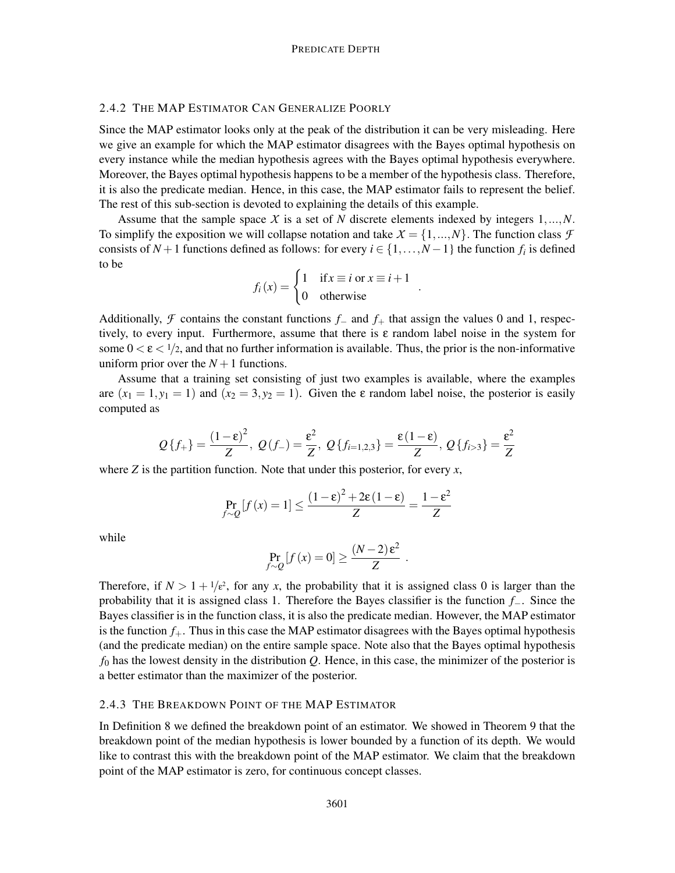# 2.4.2 THE MAP ESTIMATOR CAN GENERALIZE POORLY

Since the MAP estimator looks only at the peak of the distribution it can be very misleading. Here we give an example for which the MAP estimator disagrees with the Bayes optimal hypothesis on every instance while the median hypothesis agrees with the Bayes optimal hypothesis everywhere. Moreover, the Bayes optimal hypothesis happens to be a member of the hypothesis class. Therefore, it is also the predicate median. Hence, in this case, the MAP estimator fails to represent the belief. The rest of this sub-section is devoted to explaining the details of this example.

Assume that the sample space *X* is a set of *N* discrete elements indexed by integers 1,...,*N*. To simplify the exposition we will collapse notation and take  $X = \{1, ..., N\}$ . The function class  $\mathcal F$ consists of *N* + 1 functions defined as follows: for every  $i \in \{1, ..., N-1\}$  the function  $f_i$  is defined to be

$$
f_i(x) = \begin{cases} 1 & \text{if } x \equiv i \text{ or } x \equiv i+1 \\ 0 & \text{otherwise} \end{cases}
$$

.

Additionally, *F* contains the constant functions *<sup>f</sup>*<sup>−</sup> and *<sup>f</sup>*<sup>+</sup> that assign the values 0 and 1, respectively, to every input. Furthermore, assume that there is  $\varepsilon$  random label noise in the system for some  $0 < \varepsilon < 1/2$ , and that no further information is available. Thus, the prior is the non-informative uniform prior over the  $N+1$  functions.

Assume that a training set consisting of just two examples is available, where the examples are  $(x_1 = 1, y_1 = 1)$  and  $(x_2 = 3, y_2 = 1)$ . Given the  $\varepsilon$  random label noise, the posterior is easily computed as

$$
Q\{f_{+}\} = \frac{(1-\epsilon)^{2}}{Z}, \ Q(f_{-}) = \frac{\epsilon^{2}}{Z}, \ Q\{f_{i=1,2,3}\} = \frac{\epsilon(1-\epsilon)}{Z}, \ Q\{f_{i>3}\} = \frac{\epsilon^{2}}{Z}
$$

where  $Z$  is the partition function. Note that under this posterior, for every  $x$ ,

$$
\Pr_{f \sim Q} [f(x) = 1] \le \frac{(1 - \varepsilon)^2 + 2\varepsilon (1 - \varepsilon)}{Z} = \frac{1 - \varepsilon^2}{Z}
$$

while

$$
\Pr_{f \sim Q} [f(x) = 0] \ge \frac{(N-2)\varepsilon^2}{Z}.
$$

Therefore, if  $N > 1 + \frac{1}{\epsilon^2}$ , for any *x*, the probability that it is assigned class 0 is larger than the probability that it is assigned class 1. Therefore the Bayes classifier is the function *f*−. Since the Bayes classifier is in the function class, it is also the predicate median. However, the MAP estimator is the function  $f_{+}$ . Thus in this case the MAP estimator disagrees with the Bayes optimal hypothesis (and the predicate median) on the entire sample space. Note also that the Bayes optimal hypothesis  $f_0$  has the lowest density in the distribution  $Q$ . Hence, in this case, the minimizer of the posterior is a better estimator than the maximizer of the posterior.

# 2.4.3 THE BREAKDOWN POINT OF THE MAP ESTIMATOR

In Definition 8 we defined the breakdown point of an estimator. We showed in Theorem 9 that the breakdown point of the median hypothesis is lower bounded by a function of its depth. We would like to contrast this with the breakdown point of the MAP estimator. We claim that the breakdown point of the MAP estimator is zero, for continuous concept classes.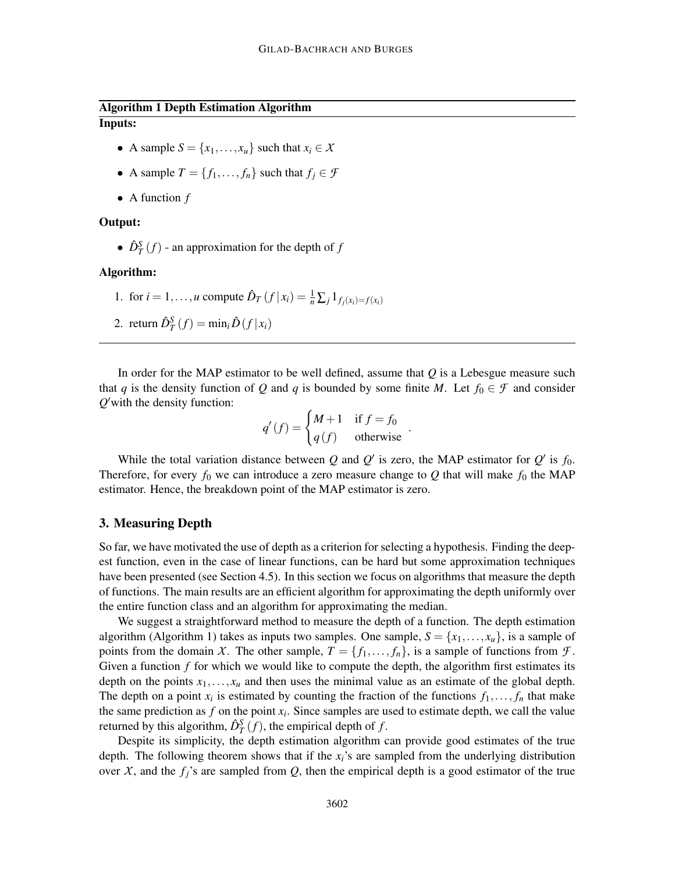# Algorithm 1 Depth Estimation Algorithm Inputs:

- A sample  $S = \{x_1, \ldots, x_u\}$  such that  $x_i \in X$
- A sample  $T = \{f_1, \ldots, f_n\}$  such that  $f_i \in \mathcal{F}$
- A function *f*

## Output:

•  $\hat{D}_T^S(f)$  - an approximation for the depth of *f* 

# Algorithm:

1. for  $i = 1, ..., u$  compute  $\hat{D}_T(f | x_i) = \frac{1}{n} \sum_j 1_{f_j(x_i) = f(x_i)}$ 

2. return 
$$
\hat{D}_T^S(f) = \min_i \hat{D}(f|x_i)
$$

In order for the MAP estimator to be well defined, assume that *Q* is a Lebesgue measure such that *q* is the density function of *Q* and *q* is bounded by some finite *M*. Let  $f_0 \in \mathcal{F}$  and consider *Q* ′with the density function:

$$
q'(f) = \begin{cases} M+1 & \text{if } f = f_0 \\ q(f) & \text{otherwise} \end{cases}.
$$

While the total variation distance between *Q* and  $Q'$  is zero, the MAP estimator for  $Q'$  is  $f_0$ . Therefore, for every  $f_0$  we can introduce a zero measure change to  $Q$  that will make  $f_0$  the MAP estimator. Hence, the breakdown point of the MAP estimator is zero.

# 3. Measuring Depth

So far, we have motivated the use of depth as a criterion for selecting a hypothesis. Finding the deepest function, even in the case of linear functions, can be hard but some approximation techniques have been presented (see Section 4.5). In this section we focus on algorithms that measure the depth of functions. The main results are an efficient algorithm for approximating the depth uniformly over the entire function class and an algorithm for approximating the median.

We suggest a straightforward method to measure the depth of a function. The depth estimation algorithm (Algorithm 1) takes as inputs two samples. One sample,  $S = \{x_1, \ldots, x_u\}$ , is a sample of points from the domain *X*. The other sample,  $T = \{f_1, \ldots, f_n\}$ , is a sample of functions from *F*. Given a function *f* for which we would like to compute the depth, the algorithm first estimates its depth on the points  $x_1, \ldots, x_u$  and then uses the minimal value as an estimate of the global depth. The depth on a point  $x_i$  is estimated by counting the fraction of the functions  $f_1, \ldots, f_n$  that make the same prediction as  $f$  on the point  $x_i$ . Since samples are used to estimate depth, we call the value returned by this algorithm,  $\hat{D}_T^S(f)$ , the empirical depth of  $f$ .

Despite its simplicity, the depth estimation algorithm can provide good estimates of the true depth. The following theorem shows that if the  $x_i$ 's are sampled from the underlying distribution over *X*, and the  $f_i$ 's are sampled from *Q*, then the empirical depth is a good estimator of the true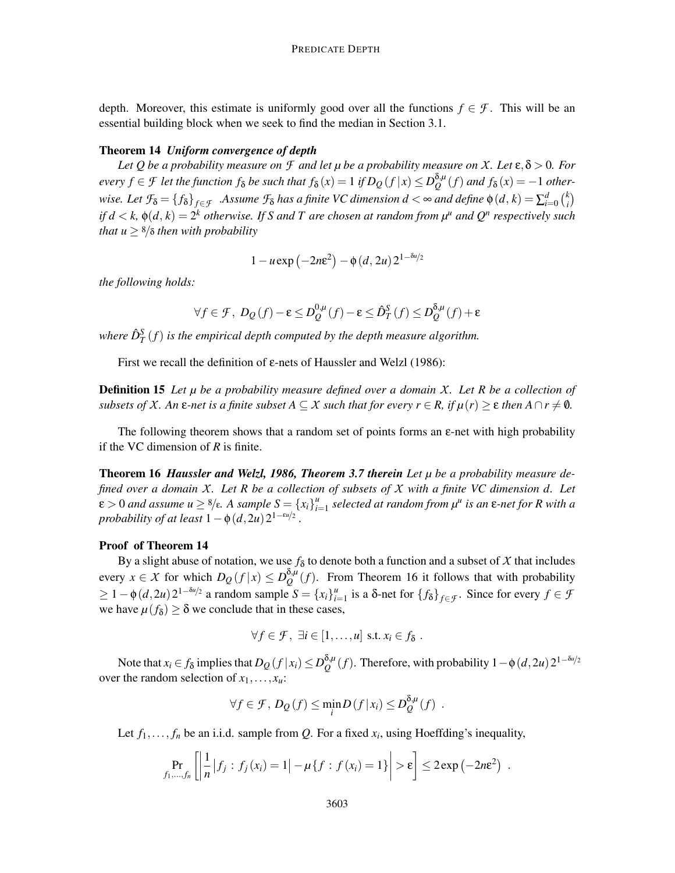depth. Moreover, this estimate is uniformly good over all the functions  $f \in \mathcal{F}$ . This will be an essential building block when we seek to find the median in Section 3.1.

### Theorem 14 *Uniform convergence of depth*

*Let* Q *be a probability measure on*  $\mathcal F$  *and let*  $\mu$  *be a probability measure on*  $X$ *. Let*  $\varepsilon$ *,* $\delta$  > 0*. For*  $e$ very  $f \in \mathcal{F}$  let the function  $f_{\delta}$  be such that  $f_{\delta}(x) = 1$  if  $D_Q(f \, | \, x) \leq D_Q^{\delta,\mu}$  $Q^{0,\mu}(f)$  *and*  $f_{\delta}(x) = -1$  *otherwise. Let*  $\mathcal{F}_\delta = \{f_\delta\}_{f \in \mathcal{F}}$  *.Assume*  $\mathcal{F}_\delta$  *has a finite VC dimension*  $d < \infty$  *and define*  $\phi(d, k) = \sum_{i=0}^d {k \choose i}$  $\binom{k}{i}$ *if*  $d < k$ *,*  $\phi(d, k) = 2^k$  *otherwise. If S and T are chosen at random from*  $\mu^u$  *and*  $Q^n$  *respectively such that*  $u \geq \frac{8}{\delta}$  *then with probability* 

$$
1 - u \exp\left(-2n\varepsilon^2\right) - \phi\left(d, 2u\right)2^{1 - \delta u/2}
$$

*the following holds:*

$$
\forall f \in \mathcal{F}, \ D_Q(f) - \varepsilon \le D_Q^{0,\mu}(f) - \varepsilon \le \hat{D}_T^S(f) \le D_Q^{\delta,\mu}(f) + \varepsilon
$$

where  $\hat{D}_{T}^{S}\left(f\right)$  is the empirical depth computed by the depth measure algorithm.

First we recall the definition of ε-nets of Haussler and Welzl (1986):

Definition 15 *Let µ be a probability measure defined over a domain X. Let R be a collection of subsets of X. An*  $\varepsilon$ -net is a finite subset  $A \subseteq X$  such that for every  $r \in R$ , if  $\mu(r) \geq \varepsilon$  then  $A \cap r \neq \emptyset$ .

The following theorem shows that a random set of points forms an  $\varepsilon$ -net with high probability if the VC dimension of *R* is finite.

Theorem 16 *Haussler and Welzl, 1986, Theorem 3.7 therein Let µ be a probability measure defined over a domain X. Let R be a collection of subsets of X with a finite VC dimension d. Let*  $\mathcal{E} > 0$  *and assume*  $u \geq \frac{8}{\epsilon}$ *. A sample*  $S = \{x_i\}_{i=1}^u$ *i*=1 *selected at random from µ<sup>u</sup> is an* ε*-net for R with a probability of at least*  $1 - \phi(d, 2u)2^{1 - \varepsilon u/2}$ .

## Proof of Theorem 14

By a slight abuse of notation, we use  $f_{\delta}$  to denote both a function and a subset of *X* that includes every  $x \in X$  for which  $D_Q(f|x) \leq D_Q^{\delta,\mu}$  $Q^{o,\mu}(f)$ . From Theorem 16 it follows that with probability  $\geq 1 - \phi(d, 2u) 2^{1 - \delta u/2}$  a random sample *S* = {*x<sub>i</sub>*}<sup>*u*</sup><sub>*i*</sub>.  $i$ <sup>*u*</sup><sub>*i*=1</sub> is a δ-net for {*f*δ}*f*∈*F*. Since for every *f* ∈ *f* we have  $\mu(f_{\delta}) \ge \delta$  we conclude that in these cases,

$$
\forall f \in \mathcal{F}, \ \exists i \in [1,\ldots,u] \ \text{ s.t. } x_i \in f_\delta \ .
$$

Note that  $x_i \in f_\delta$  implies that  $D_Q(f|x_i) \leq D_Q^{\delta,\mu}$  $Q^{δ,μ}(f)$ . Therefore, with probability  $1 - φ(d, 2*u*) 2<sup>1−δ*u*/2}</sup>$ over the random selection of  $x_1, \ldots, x_u$ :

$$
\forall f \in \mathcal{F}, D_Q(f) \leq \min_i D(f|x_i) \leq D_Q^{\delta,\mu}(f) .
$$

Let  $f_1, \ldots, f_n$  be an i.i.d. sample from *Q*. For a fixed  $x_i$ , using Hoeffding's inequality,

$$
\Pr_{f_1,\dots,f_n}\left[\left|\frac{1}{n}\big|f_j:f_j(x_i)=1\right|-\mu\{f:f(x_i)=1\}\right|>\varepsilon\right]\leq 2\exp\left(-2n\varepsilon^2\right)\;.
$$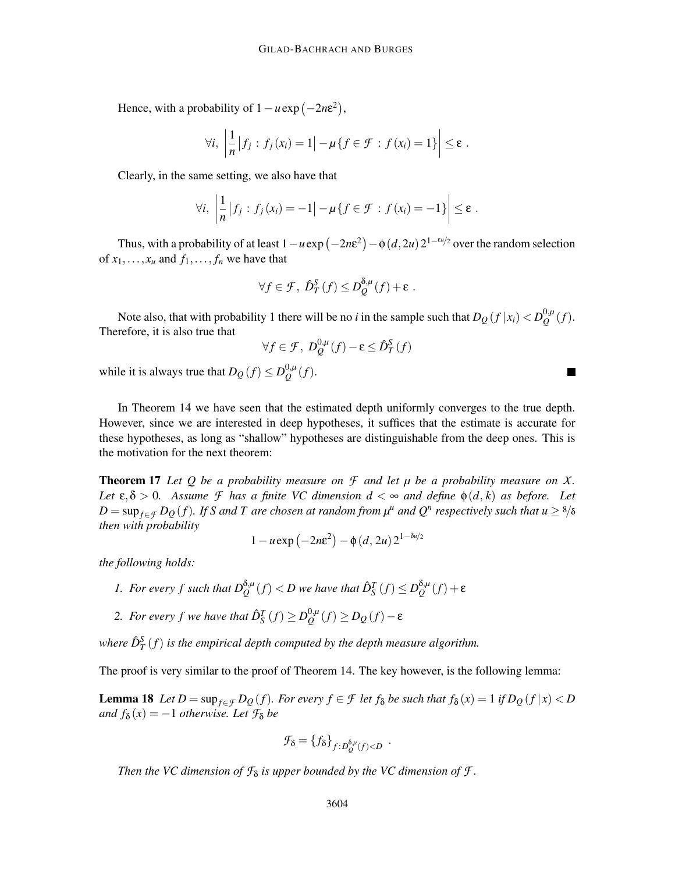Hence, with a probability of  $1 - u \exp(-2n\varepsilon^2)$ ,

$$
\forall i, \ \left| \frac{1}{n} \left| f_j : f_j(x_i) = 1 \right| - \mu \{ f \in \mathcal{F} : f(x_i) = 1 \} \right| \leq \varepsilon \ .
$$

Clearly, in the same setting, we also have that

$$
\forall i, \ \left| \frac{1}{n} \left| f_j : f_j(x_i) = -1 \right| - \mu \{ f \in \mathcal{F} : f(x_i) = -1 \} \right| \leq \varepsilon \ .
$$

Thus, with a probability of at least  $1 - u \exp(-2n\varepsilon^2) - \phi(d, 2u) 2^{1 - \varepsilon u/2}$  over the random selection of  $x_1, \ldots, x_u$  and  $f_1, \ldots, f_n$  we have that

$$
\forall f \in \mathcal{F}, \ \hat{D}_T^S(f) \leq D_Q^{\delta,\mu}(f) + \varepsilon \ .
$$

Note also, that with probability 1 there will be no *i* in the sample such that  $D_Q(f|x_i) < D_Q^{0,\mu}$  $_{\mathcal{Q}}^{\mathsf{U},\mu}(f).$ Therefore, it is also true that

$$
\forall f \in \mathcal{F}, \ D_{\mathcal{Q}}^{0,\mu}(f) - \varepsilon \leq \hat{D}_T^S(f)
$$

while it is always true that  $D_Q(f) \leq D_Q^{0,\mu}$  $_{\mathcal{Q}}^{\mathsf{U},\mu}(f).$ 

In Theorem 14 we have seen that the estimated depth uniformly converges to the true depth. However, since we are interested in deep hypotheses, it suffices that the estimate is accurate for these hypotheses, as long as "shallow" hypotheses are distinguishable from the deep ones. This is the motivation for the next theorem:

Theorem 17 *Let Q be a probability measure on F and let µ be a probability measure on X. Let*  $\varepsilon, \delta > 0$ . Assume *F* has a finite VC dimension  $d < \infty$  and define  $\phi(d, k)$  as before. Let  $D = \sup_{f \in \mathcal{F}} D_{Q}(f)$ *. If S and T are chosen at random from*  $\mu^u$  *and*  $Q^n$  *respectively such that*  $u \geq 8/8$ *then with probability*

$$
1 - u \exp\left(-2n\varepsilon^2\right) - \phi\left(d, 2u\right)2^{1 - \delta u/2}
$$

*the following holds:*

- *1. For every f such that*  $D_{Q}^{\delta,\mu}(f) < D$  we have that  $\hat{D}_{S}^{T}(f) \leq D_{Q}^{\delta,\mu}$  $Q^{0,\mu}(f)+\varepsilon$
- 2. For every f we have that  $\hat{D}_{\mathcal{S}}^{T}(f) \ge D_{\mathcal{Q}}^{0,\mu}$  $Q^{0,\mu}(f)$  ≥ *D*<sub>*Q*</sub> (*f*) − ε

where  $\hat{D}_{T}^{S}\left(f\right)$  is the empirical depth computed by the depth measure algorithm.

The proof is very similar to the proof of Theorem 14. The key however, is the following lemma:

**Lemma 18** Let  $D = \sup_{f \in \mathcal{F}} D_Q(f)$ . For every  $f \in \mathcal{F}$  let  $f_\delta$  be such that  $f_\delta(x) = 1$  if  $D_Q(f|x) < D$ *and*  $f_{\delta}(x) = -1$  *otherwise. Let*  $\mathcal{F}_{\delta}$  *be* 

$$
\mathcal{F}_{\delta} = \{f_{\delta}\}_{f:D^{\delta,\mu}_{Q}(f) < D} \enspace .
$$

*Then the VC dimension of*  $\mathcal{F}_{\delta}$  *is upper bounded by the VC dimension of*  $\mathcal{F}$ *.* 

 $\blacksquare$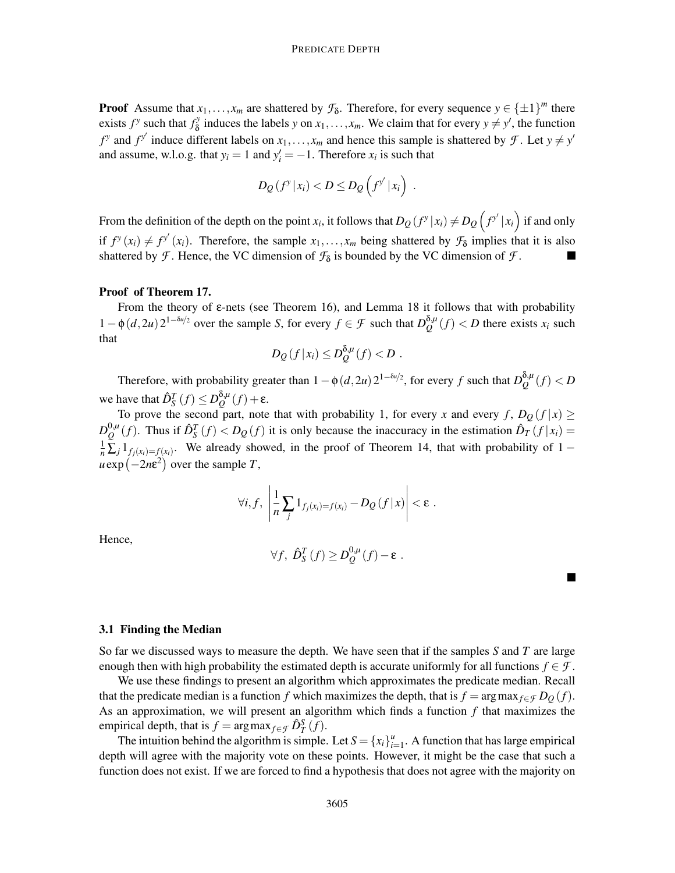**Proof** Assume that  $x_1, \ldots, x_m$  are shattered by  $\mathcal{F}_{\delta}$ . Therefore, for every sequence  $y \in {\{\pm 1\}}^m$  there exists  $f^y$  such that  $f^y$  $\delta$  induces the labels *y* on  $x_1, \ldots, x_m$ . We claim that for every  $y \neq y'$ , the function  $f^y$  and  $f^{y'}$  induce different labels on  $x_1, \ldots, x_m$  and hence this sample is shattered by *F*. Let  $y \neq y'$ and assume, w.l.o.g. that  $y_i = 1$  and  $y'_i = -1$ . Therefore  $x_i$  is such that

$$
D_Q(f^y|x_i) < D \leq D_Q(f^{y'}|x_i).
$$

From the definition of the depth on the point *x<sub>i</sub>*, it follows that  $D_Q(f^y|x_i) \neq D_Q(f^{y'}|x_i)$  if and only if  $f^y(x_i) \neq f^{y'}(x_i)$ . Therefore, the sample  $x_1, \ldots, x_m$  being shattered by  $\mathcal{F}_{\delta}$  implies that it is also shattered by *F*. Hence, the VC dimension of  $\mathcal{F}_{\delta}$  is bounded by the VC dimension of *F*.

## Proof of Theorem 17.

From the theory of  $\varepsilon$ -nets (see Theorem 16), and Lemma 18 it follows that with probability  $1 - \phi(d, 2u) 2^{1 - \delta u/2}$  over the sample *S*, for every  $f \in \mathcal{F}$  such that  $D_Q^{\delta, \mu}$  $Q^{o,\mu}(f) < D$  there exists  $x_i$  such that

$$
D_{\mathcal{Q}}(f|x_i) \leq D_{\mathcal{Q}}^{\delta,\mu}(f) < D.
$$

Therefore, with probability greater than  $1 - \phi(d, 2u) 2^{1 - \delta u/2}$ , for every *f* such that  $D_Q^{\delta, \mu}$  $Q^{0,\mu}(f) < D$ we have that  $\hat{D}_S^T(f) \leq D_Q^{\delta,\mu}$  $Q^{0,\mu}(f) + ε.$ 

To prove the second part, note that with probability 1, for every *x* and every *f*,  $D_Q(f|x) \ge$  $D_O^{0,\mu}$  $\frac{D_0\mu}{Q}(f)$ . Thus if  $\hat{D}_S^T(f) < D_Q(f)$  it is only because the inaccuracy in the estimation  $\hat{D}_T(f|x_i)$  $\frac{1}{n} \sum_{j} 1_{f_j(x_i) = f(x_i)}$ . We already showed, in the proof of Theorem 14, that with probability of 1 −  $u \exp(-2n\varepsilon^2)$  over the sample *T*,

$$
\forall i, f, \left| \frac{1}{n} \sum_j \mathbb{1}_{f_j(x_i) = f(x_i)} - D_Q(f|x) \right| < \varepsilon \; .
$$

Hence,

$$
\forall f, \ \hat{D}_S^T(f) \geq D_Q^{0,\mu}(f) - \varepsilon \ .
$$

# 3.1 Finding the Median

So far we discussed ways to measure the depth. We have seen that if the samples *S* and *T* are large enough then with high probability the estimated depth is accurate uniformly for all functions  $f \in \mathcal{F}$ .

We use these findings to present an algorithm which approximates the predicate median. Recall that the predicate median is a function *f* which maximizes the depth, that is  $f = \arg \max_{f \in \mathcal{F}} D_Q(f)$ . As an approximation, we will present an algorithm which finds a function *f* that maximizes the empirical depth, that is  $f = \arg \max_{f \in \mathcal{F}} \hat{D}_T^S(f)$ .

The intuition behind the algorithm is simple. Let  $S = \{x_i\}_{i=1}^u$  $\int_{i=1}^{u}$ . A function that has large empirical depth will agree with the majority vote on these points. However, it might be the case that such a function does not exist. If we are forced to find a hypothesis that does not agree with the majority on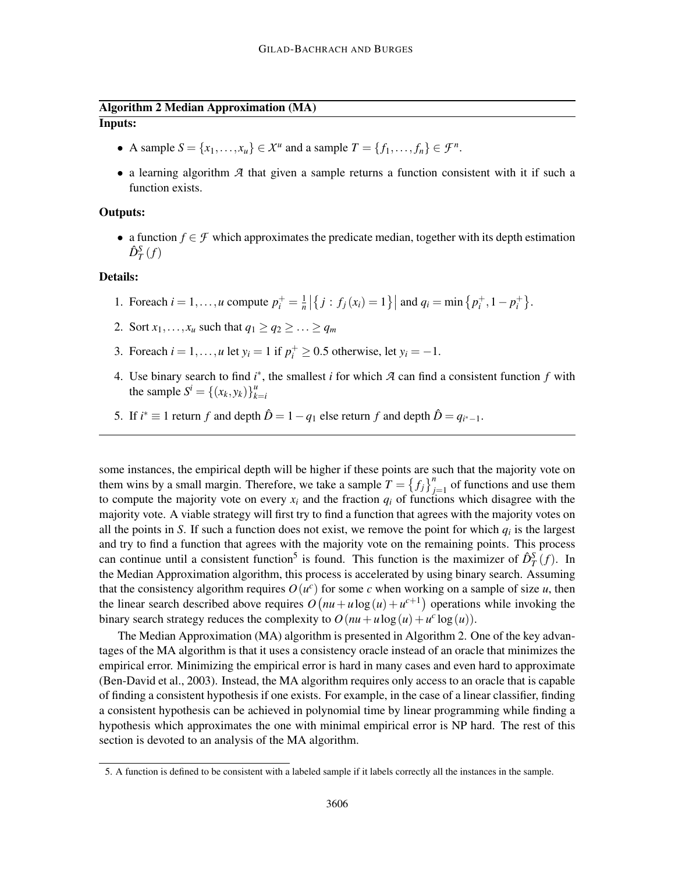# Algorithm 2 Median Approximation (MA) Inputs:

- A sample  $S = \{x_1, \ldots, x_u\} \in \mathcal{X}^u$  and a sample  $T = \{f_1, \ldots, f_n\} \in \mathcal{F}^n$ .
- a learning algorithm *A* that given a sample returns a function consistent with it if such a function exists.

# Outputs:

• a function  $f \in \mathcal{F}$  which approximates the predicate median, together with its depth estimation  $\hat{D}_T^S(f)$ 

# Details:

- 1. Foreach  $i = 1, \ldots, u$  compute  $p_i^+ = \frac{1}{n}$  $\frac{1}{n} | \{ j : f_j(x_i) = 1 \} |$  and  $q_i = \min \{ p_i^+, 1 - p_i^+ \}.$
- 2. Sort  $x_1, \ldots, x_u$  such that  $q_1 \geq q_2 \geq \ldots \geq q_m$
- 3. Foreach  $i = 1, ..., u$  let  $y_i = 1$  if  $p_i^+ \ge 0.5$  otherwise, let  $y_i = -1$ .
- 4. Use binary search to find *i* ∗ , the smallest *i* for which *A* can find a consistent function *f* with the sample  $S^i = \{(x_k, y_k)\}_{k=1}^u$ *k*=*i*
- 5. If  $i^* \equiv 1$  return  $f$  and depth  $\hat{D} = 1 q_1$  else return  $f$  and depth  $\hat{D} = q_{i^* 1}$ .

some instances, the empirical depth will be higher if these points are such that the majority vote on them wins by a small margin. Therefore, we take a sample  $T = \{f_j\}_{j=1}^n$  of functions and use them to compute the majority vote on every  $x_i$  and the fraction  $q_i$  of functions which disagree with the majority vote. A viable strategy will first try to find a function that agrees with the majority votes on all the points in *S*. If such a function does not exist, we remove the point for which  $q_i$  is the largest and try to find a function that agrees with the majority vote on the remaining points. This process can continue until a consistent function<sup>5</sup> is found. This function is the maximizer of  $\hat{D}_T^S(f)$ . In the Median Approximation algorithm, this process is accelerated by using binary search. Assuming that the consistency algorithm requires  $O(u^c)$  for some *c* when working on a sample of size *u*, then the linear search described above requires  $O(nu + u \log(u) + u^{c+1})$  operations while invoking the binary search strategy reduces the complexity to  $O(nu + u \log(u) + u^c \log(u))$ .

The Median Approximation (MA) algorithm is presented in Algorithm 2. One of the key advantages of the MA algorithm is that it uses a consistency oracle instead of an oracle that minimizes the empirical error. Minimizing the empirical error is hard in many cases and even hard to approximate (Ben-David et al., 2003). Instead, the MA algorithm requires only access to an oracle that is capable of finding a consistent hypothesis if one exists. For example, in the case of a linear classifier, finding a consistent hypothesis can be achieved in polynomial time by linear programming while finding a hypothesis which approximates the one with minimal empirical error is NP hard. The rest of this section is devoted to an analysis of the MA algorithm.

<sup>5.</sup> A function is defined to be consistent with a labeled sample if it labels correctly all the instances in the sample.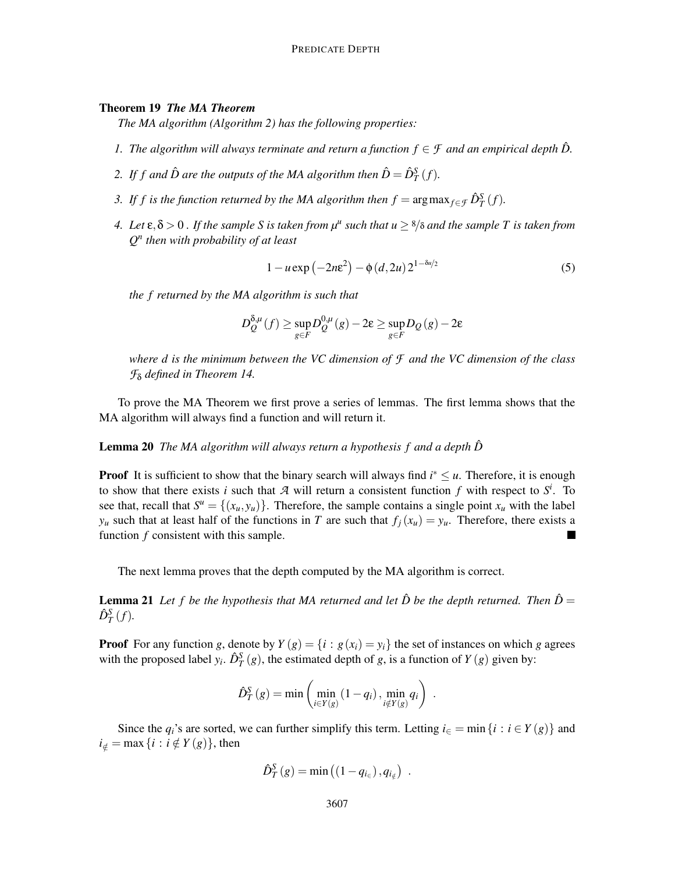# Theorem 19 *The MA Theorem*

*The MA algorithm (Algorithm 2) has the following properties:*

- *1. The algorithm will always terminate and return a function*  $f \in \mathcal{F}$  *and an empirical depth*  $\hat{D}$ .
- 2. If f and  $\hat{D}$  are the outputs of the MA algorithm then  $\hat{D} = \hat{D}_T^S(f)$ .
- *3. If f is the function returned by the MA algorithm then*  $f = \arg \max_{f \in \mathcal{F}} \hat{D}_T^S(f)$ *.*
- *4.* Let  $\varepsilon, \delta > 0$  . If the sample S is taken from  $\mu^u$  such that  $u \ge \frac{8}{\delta}$  and the sample T is taken from *Q n then with probability of at least*

$$
1 - u \exp(-2n\varepsilon^2) - \phi(d, 2u) 2^{1 - \delta u/2}
$$
 (5)

*the f returned by the MA algorithm is such that*

$$
D_{Q}^{\delta,\mu}(f) \ge \sup_{g \in F} D_{Q}^{0,\mu}(g) - 2\epsilon \ge \sup_{g \in F} D_{Q}(g) - 2\epsilon
$$

*where d is the minimum between the VC dimension of F and the VC dimension of the class F*<sup>δ</sup> *defined in Theorem 14.*

To prove the MA Theorem we first prove a series of lemmas. The first lemma shows that the MA algorithm will always find a function and will return it.

# **Lemma 20** *The MA algorithm will always return a hypothesis f and a depth*  $\hat{D}$

**Proof** It is sufficient to show that the binary search will always find  $i^* \leq u$ . Therefore, it is enough to show that there exists *i* such that  $A$  will return a consistent function  $f$  with respect to  $S^i$ . To see that, recall that  $S^u = \{(x_u, y_u)\}\$ . Therefore, the sample contains a single point  $x_u$  with the label *y*<sub>*u*</sub> such that at least half of the functions in *T* are such that  $f_i(x_u) = y_u$ . Therefore, there exists a function *f* consistent with this sample. Ξ

The next lemma proves that the depth computed by the MA algorithm is correct.

**Lemma 21** Let f be the hypothesis that MA returned and let  $\hat{D}$  be the depth returned. Then  $\hat{D} =$  $\hat{D}_T^S(f)$ .

**Proof** For any function *g*, denote by  $Y(g) = \{i : g(x_i) = y_i\}$  the set of instances on which *g* agrees with the proposed label  $y_i$ .  $\hat{D}_T^S(g)$ , the estimated depth of *g*, is a function of *Y* (*g*) given by:

$$
\hat{D}_T^S(g) = \min\left(\min_{i \in Y(g)} (1 - q_i), \min_{i \notin Y(g)} q_i\right) .
$$

Since the  $q_i$ 's are sorted, we can further simplify this term. Letting  $i \in \mathbb{F}$  = min $\{i : i \in Y(g)\}$  and  $i_{\notin}$  = max {*i* : *i*  $\notin$  *Y* (*g*)}, then

$$
\hat{D}_T^S(g) = \min\left(\left(1 - q_{i_{\in}}\right), q_{i_{\notin}}\right) \ .
$$

*S*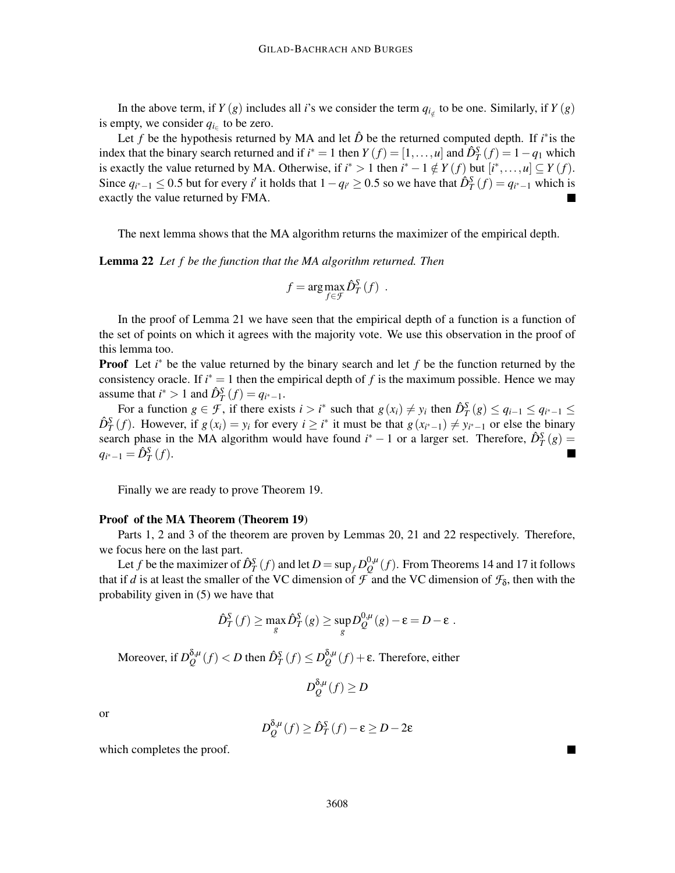In the above term, if *Y* (*g*) includes all *i*'s we consider the term  $q_{i_{\notin}}$  to be one. Similarly, if *Y* (*g*) is empty, we consider  $q_{i \in}$  to be zero.

Let *f* be the hypothesis returned by MA and let  $\hat{D}$  be the returned computed depth. If *i*<sup>\*</sup> is the index that the binary search returned and if  $i^* = 1$  then  $Y(f) = [1, ..., u]$  and  $\hat{D}_T^S(f) = 1 - q_1$  which is exactly the value returned by MA. Otherwise, if  $i^* > 1$  then  $i^* - 1 \notin Y(f)$  but  $[i^*, \ldots, u] \subseteq Y(f)$ . Since  $q_{i^*-1} \le 0.5$  but for every *i'* it holds that  $1-q_{i'} \ge 0.5$  so we have that  $\hat{D}_T^S(f) = q_{i^*-1}$  which is exactly the value returned by FMA.

The next lemma shows that the MA algorithm returns the maximizer of the empirical depth.

Lemma 22 *Let f be the function that the MA algorithm returned. Then*

$$
f = \arg \max_{f \in \mathcal{F}} \hat{D}_T^S(f) .
$$

In the proof of Lemma 21 we have seen that the empirical depth of a function is a function of the set of points on which it agrees with the majority vote. We use this observation in the proof of this lemma too.

**Proof** Let *i*<sup>∗</sup> be the value returned by the binary search and let *f* be the function returned by the consistency oracle. If  $i^* = 1$  then the empirical depth of f is the maximum possible. Hence we may assume that  $i^* > 1$  and  $\hat{D}_T^S(f) = q_{i^* - 1}$ .

For a function  $g \in \mathcal{F}$ , if there exists  $i > i^*$  such that  $g(x_i) \neq y_i$  then  $\hat{D}_T^S(g) \leq q_{i-1} \leq q_{i^*-1} \leq$  $\hat{D}_T^S(f)$ . However, if  $g(x_i) = y_i$  for every  $i \geq i^*$  it must be that  $g(x_{i^*-1}) \neq y_{i^*-1}$  or else the binary search phase in the MA algorithm would have found  $i^* - 1$  or a larger set. Therefore,  $\hat{D}_T^S(g) =$  $q_{i^*-1} = \hat{D}_T^S(f)$ .

Finally we are ready to prove Theorem 19.

#### Proof of the MA Theorem (Theorem 19)

Parts 1, 2 and 3 of the theorem are proven by Lemmas 20, 21 and 22 respectively. Therefore, we focus here on the last part.

Let *f* be the maximizer of  $\hat{D}_T^S(f)$  and let  $D = \sup_f D_Q^{0,\mu}$  $Q^{0,\mu}(f)$ . From Theorems 14 and 17 it follows that if *d* is at least the smaller of the VC dimension of  $\tilde{f}$  and the VC dimension of  $\mathcal{F}_\delta$ , then with the probability given in (5) we have that

$$
\hat{D}_T^S(f) \ge \max_g \hat{D}_T^S(g) \ge \sup_g D_Q^{0,\mu}(g) - \varepsilon = D - \varepsilon.
$$

Moreover, if *D* δ,*µ*  $\frac{\delta_{\mu} \mu}{Q}(f) < D$  then  $\hat{D}_T^{\mathcal{S}}(f) \leq D_Q^{\delta, \mu}$ *Q* (*f*) +ε. Therefore, either

$$
D_{Q}^{\delta,\mu}(f) \ge D
$$

or

$$
D_{Q}^{\delta,\mu}(f) \ge \hat{D}_{T}^{S}(f) - \varepsilon \ge D - 2\varepsilon
$$

which completes the proof.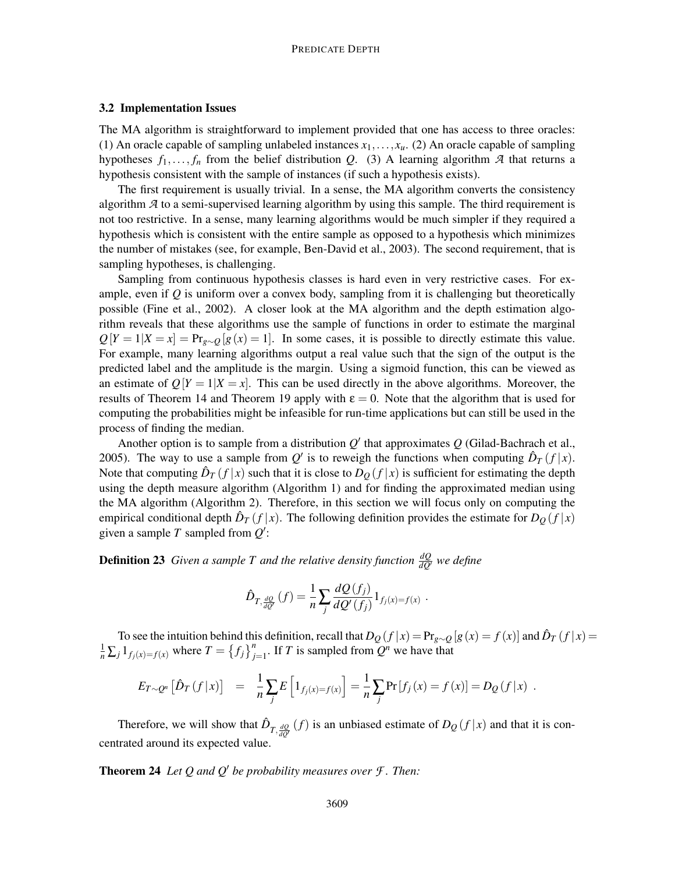### 3.2 Implementation Issues

The MA algorithm is straightforward to implement provided that one has access to three oracles: (1) An oracle capable of sampling unlabeled instances  $x_1, \ldots, x_u$ . (2) An oracle capable of sampling hypotheses  $f_1, \ldots, f_n$  from the belief distribution *Q*. (3) A learning algorithm *A* that returns a hypothesis consistent with the sample of instances (if such a hypothesis exists).

The first requirement is usually trivial. In a sense, the MA algorithm converts the consistency algorithm *A* to a semi-supervised learning algorithm by using this sample. The third requirement is not too restrictive. In a sense, many learning algorithms would be much simpler if they required a hypothesis which is consistent with the entire sample as opposed to a hypothesis which minimizes the number of mistakes (see, for example, Ben-David et al., 2003). The second requirement, that is sampling hypotheses, is challenging.

Sampling from continuous hypothesis classes is hard even in very restrictive cases. For example, even if  $Q$  is uniform over a convex body, sampling from it is challenging but theoretically possible (Fine et al., 2002). A closer look at the MA algorithm and the depth estimation algorithm reveals that these algorithms use the sample of functions in order to estimate the marginal  $Q[Y = 1|X = x] = Pr_{g \sim Q}[g(x) = 1]$ . In some cases, it is possible to directly estimate this value. For example, many learning algorithms output a real value such that the sign of the output is the predicted label and the amplitude is the margin. Using a sigmoid function, this can be viewed as an estimate of  $Q[Y = 1 | X = x]$ . This can be used directly in the above algorithms. Moreover, the results of Theorem 14 and Theorem 19 apply with  $\varepsilon = 0$ . Note that the algorithm that is used for computing the probabilities might be infeasible for run-time applications but can still be used in the process of finding the median.

Another option is to sample from a distribution *Q* ′ that approximates *Q* (Gilad-Bachrach et al., 2005). The way to use a sample from  $Q'$  is to reweigh the functions when computing  $\hat{D}_T(f|x)$ . Note that computing  $\hat{D}_T(f|x)$  such that it is close to  $D_Q(f|x)$  is sufficient for estimating the depth using the depth measure algorithm (Algorithm 1) and for finding the approximated median using the MA algorithm (Algorithm 2). Therefore, in this section we will focus only on computing the empirical conditional depth  $\hat{D}_T(f|x)$ . The following definition provides the estimate for  $D_Q(f|x)$ given a sample *T* sampled from *Q* ′ :

**Definition 23** Given a sample T and the relative density function  $\frac{dQ}{dQ'}$  we define

$$
\hat{D}_{T,\frac{dQ}{dQ'}}(f) = \frac{1}{n} \sum_j \frac{dQ(f_j)}{dQ'(f_j)} 1_{f_j(x) = f(x)}
$$

To see the intuition behind this definition, recall that  $D_Q(f|x) = Pr_{g \sim Q}[g(x) = f(x)]$  and  $\hat{D}_T(f|x) = \frac{1}{n} \sum_j 1_{f_j(x) = f(x)}$  where  $T = \{f_j\}_{j=1}^n$ . If T is sampled from  $Q^n$  we have that

.

$$
E_{T \sim Q^n} [\hat{D}_T(f | x)] = \frac{1}{n} \sum_j E\left[1_{f_j(x) = f(x)}\right] = \frac{1}{n} \sum_j \Pr[f_j(x) = f(x)] = D_Q(f | x) .
$$

Therefore, we will show that  $\hat{D}_{T,\frac{dQ}{dQ}}(f)$  is an unbiased estimate of  $D_Q(f|x)$  and that it is concentrated around its expected value.

Theorem 24 *Let Q and Q*′ *be probability measures over F . Then:*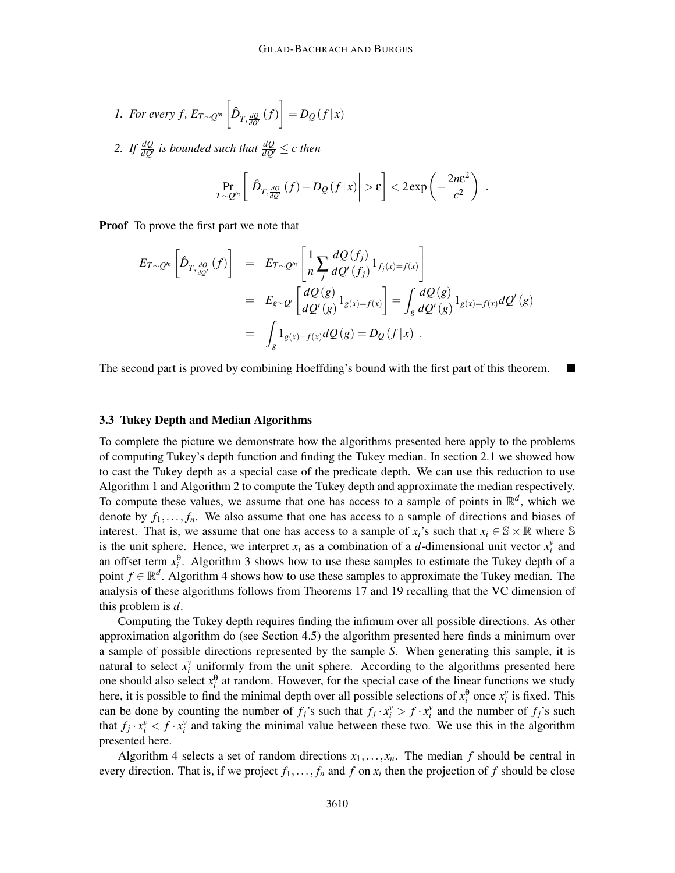1. For every f, 
$$
E_{T \sim Q^n} \left[ \hat{D}_{T, \frac{dQ}{dQ'}}(f) \right] = D_Q(f|x)
$$

2. If  $\frac{dQ}{dQ'}$  *is bounded such that*  $\frac{dQ}{dQ'} \leq c$  then

$$
\Pr_{T \sim Q'^n} \left[ \left| \hat{D}_{T, \frac{dQ}{dQ'}}(f) - D_Q(f|x) \right| > \varepsilon \right] < 2 \exp \left( -\frac{2n\varepsilon^2}{c^2} \right) .
$$

**Proof** To prove the first part we note that

$$
E_{T \sim Q^{\prime n}}\left[\hat{D}_{T,\frac{dQ}{dQ^{\prime}}}(f)\right] = E_{T \sim Q^{\prime n}}\left[\frac{1}{n}\sum_{j}\frac{dQ(f_j)}{dQ^{\prime}(f_j)}1_{f_j(x)=f(x)}\right]
$$
  
\n
$$
= E_{g \sim Q^{\prime}}\left[\frac{dQ(g)}{dQ^{\prime}(g)}1_{g(x)=f(x)}\right] = \int_{g}\frac{dQ(g)}{dQ^{\prime}(g)}1_{g(x)=f(x)}dQ^{\prime}(g)
$$
  
\n
$$
= \int_{g}1_{g(x)=f(x)}dQ(g) = D_{Q}(f|x) .
$$

The second part is proved by combining Hoeffding's bound with the first part of this theorem.

# 3.3 Tukey Depth and Median Algorithms

To complete the picture we demonstrate how the algorithms presented here apply to the problems of computing Tukey's depth function and finding the Tukey median. In section 2.1 we showed how to cast the Tukey depth as a special case of the predicate depth. We can use this reduction to use Algorithm 1 and Algorithm 2 to compute the Tukey depth and approximate the median respectively. To compute these values, we assume that one has access to a sample of points in  $\mathbb{R}^d$ , which we denote by  $f_1, \ldots, f_n$ . We also assume that one has access to a sample of directions and biases of interest. That is, we assume that one has access to a sample of  $x_i$ 's such that  $x_i \in \mathbb{S} \times \mathbb{R}$  where  $\mathbb{S}$ is the unit sphere. Hence, we interpret  $x_i$  as a combination of a *d*-dimensional unit vector  $x_i^v$  and an offset term  $x_i^{\theta}$ . Algorithm 3 shows how to use these samples to estimate the Tukey depth of a point  $f \in \mathbb{R}^d$ . Algorithm 4 shows how to use these samples to approximate the Tukey median. The analysis of these algorithms follows from Theorems 17 and 19 recalling that the VC dimension of this problem is *d*.

Computing the Tukey depth requires finding the infimum over all possible directions. As other approximation algorithm do (see Section 4.5) the algorithm presented here finds a minimum over a sample of possible directions represented by the sample *S*. When generating this sample, it is natural to select  $x_i^v$  uniformly from the unit sphere. According to the algorithms presented here one should also select  $x_i^{\theta}$  at random. However, for the special case of the linear functions we study here, it is possible to find the minimal depth over all possible selections of  $x_i^{\theta}$  once  $x_i^{\nu}$  is fixed. This can be done by counting the number of  $f_j$ 's such that  $f_j \cdot x_i^v > f \cdot x_i^v$  and the number of  $f_j$ 's such that  $f_j \cdot x_i^v < f \cdot x_i^v$  and taking the minimal value between these two. We use this in the algorithm presented here.

Algorithm 4 selects a set of random directions  $x_1, \ldots, x_u$ . The median f should be central in every direction. That is, if we project  $f_1, \ldots, f_n$  and  $f$  on  $x_i$  then the projection of  $f$  should be close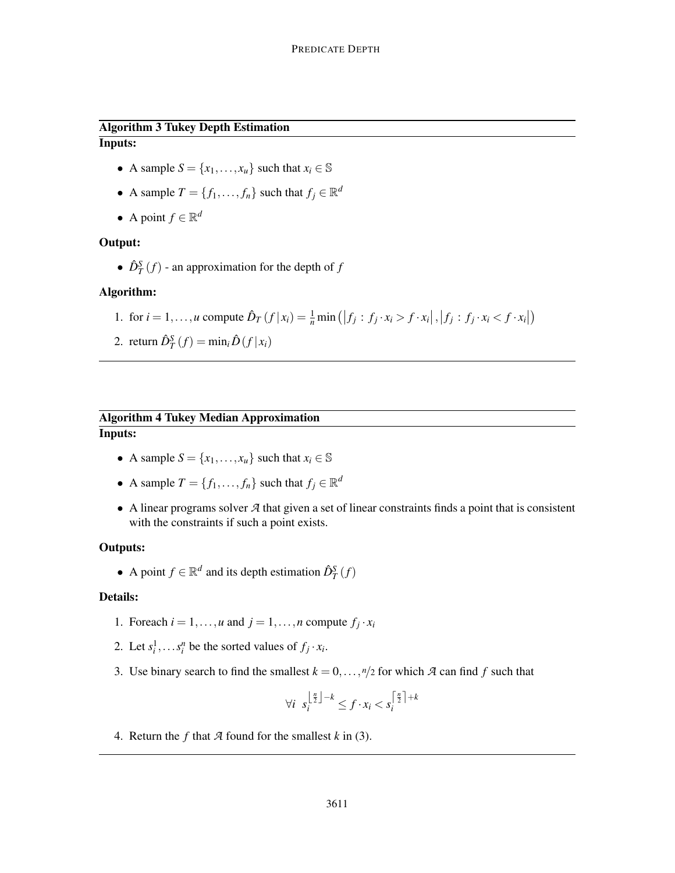# Algorithm 3 Tukey Depth Estimation Inputs:

- A sample  $S = \{x_1, \ldots, x_u\}$  such that  $x_i \in \mathbb{S}$
- A sample  $T = \{f_1, \ldots, f_n\}$  such that  $f_j \in \mathbb{R}^d$
- A point  $f \in \mathbb{R}^d$

# Output:

•  $\hat{D}_T^S(f)$  - an approximation for the depth of *f* 

# Algorithm:

- 1. for  $i = 1, ..., u$  compute  $\hat{D}_T(f | x_i) = \frac{1}{n} \min(|f_j : f_j \cdot x_i > f \cdot x_i|, |f_j : f_j \cdot x_i < f \cdot x_i|)$
- 2. return  $\hat{D}_T^S(f) = \min_i \hat{D}(f|x_i)$

# Algorithm 4 Tukey Median Approximation Inputs:

- A sample  $S = \{x_1, \ldots, x_u\}$  such that  $x_i \in \mathbb{S}$
- A sample  $T = \{f_1, \ldots, f_n\}$  such that  $f_j \in \mathbb{R}^d$
- A linear programs solver *A* that given a set of linear constraints finds a point that is consistent with the constraints if such a point exists.

# Outputs:

• A point  $f \in \mathbb{R}^d$  and its depth estimation  $\hat{D}_T^S(f)$ 

# Details:

- 1. Foreach  $i = 1, ..., u$  and  $j = 1, ..., n$  compute  $f_j \cdot x_i$
- 2. Let  $s_i^1, \ldots s_i^n$  be the sorted values of  $f_j \cdot x_i$ .
- 3. Use binary search to find the smallest  $k = 0, \ldots, \frac{n}{2}$  for which *A* can find *f* such that

$$
\forall i \ \ s_i^{\left\lfloor \frac{n}{2} \right\rfloor - k} \le f \cdot x_i < s_i^{\left\lceil \frac{n}{2} \right\rceil + k}
$$

4. Return the *f* that *A* found for the smallest *k* in (3).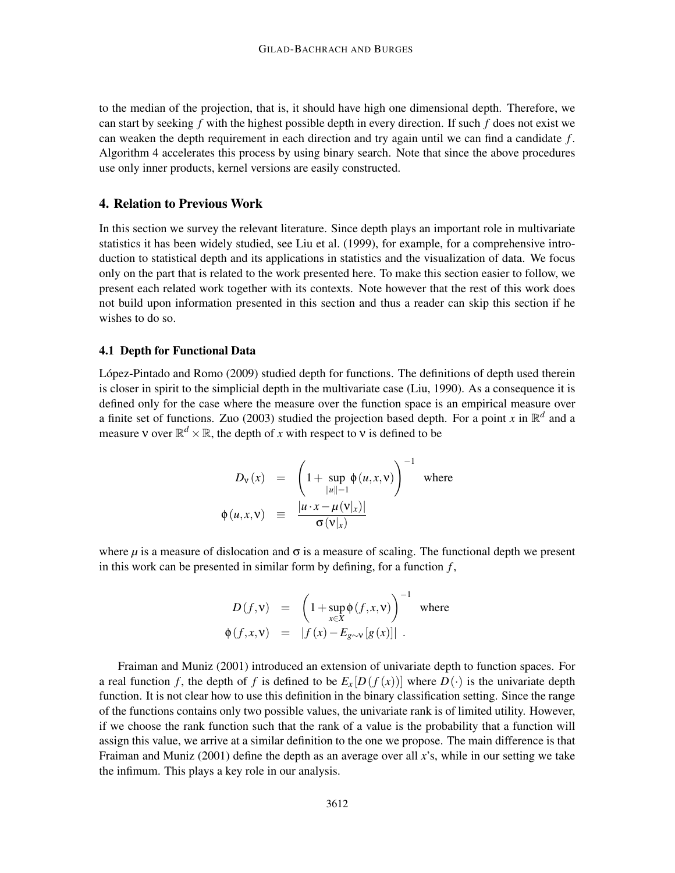to the median of the projection, that is, it should have high one dimensional depth. Therefore, we can start by seeking *f* with the highest possible depth in every direction. If such *f* does not exist we can weaken the depth requirement in each direction and try again until we can find a candidate *f* . Algorithm 4 accelerates this process by using binary search. Note that since the above procedures use only inner products, kernel versions are easily constructed.

## 4. Relation to Previous Work

In this section we survey the relevant literature. Since depth plays an important role in multivariate statistics it has been widely studied, see Liu et al. (1999), for example, for a comprehensive introduction to statistical depth and its applications in statistics and the visualization of data. We focus only on the part that is related to the work presented here. To make this section easier to follow, we present each related work together with its contexts. Note however that the rest of this work does not build upon information presented in this section and thus a reader can skip this section if he wishes to do so.

# 4.1 Depth for Functional Data

López-Pintado and Romo (2009) studied depth for functions. The definitions of depth used therein is closer in spirit to the simplicial depth in the multivariate case (Liu, 1990). As a consequence it is defined only for the case where the measure over the function space is an empirical measure over a finite set of functions. Zuo (2003) studied the projection based depth. For a point *x* in  $\mathbb{R}^d$  and a measure  $\nu$  over  $\mathbb{R}^d \times \mathbb{R}$ , the depth of *x* with respect to  $\nu$  is defined to be

$$
D_{\mathbf{v}}(x) = \left(1 + \sup_{\|u\|=1} \phi(u, x, \mathbf{v})\right)^{-1} \text{ where}
$$
  

$$
\phi(u, x, \mathbf{v}) \equiv \frac{|u \cdot x - \mu(\mathbf{v}|_x)|}{\sigma(\mathbf{v}|_x)}
$$

where  $\mu$  is a measure of dislocation and  $\sigma$  is a measure of scaling. The functional depth we present in this work can be presented in similar form by defining, for a function *f* ,

$$
D(f, v) = \left(1 + \sup_{x \in X} \phi(f, x, v)\right)^{-1} \text{ where}
$$
  

$$
\phi(f, x, v) = |f(x) - E_{g \sim v}[g(x)]|.
$$

Fraiman and Muniz (2001) introduced an extension of univariate depth to function spaces. For a real function f, the depth of f is defined to be  $E_x[D(f(x))]$  where  $D(\cdot)$  is the univariate depth function. It is not clear how to use this definition in the binary classification setting. Since the range of the functions contains only two possible values, the univariate rank is of limited utility. However, if we choose the rank function such that the rank of a value is the probability that a function will assign this value, we arrive at a similar definition to the one we propose. The main difference is that Fraiman and Muniz (2001) define the depth as an average over all *x*'s, while in our setting we take the infimum. This plays a key role in our analysis.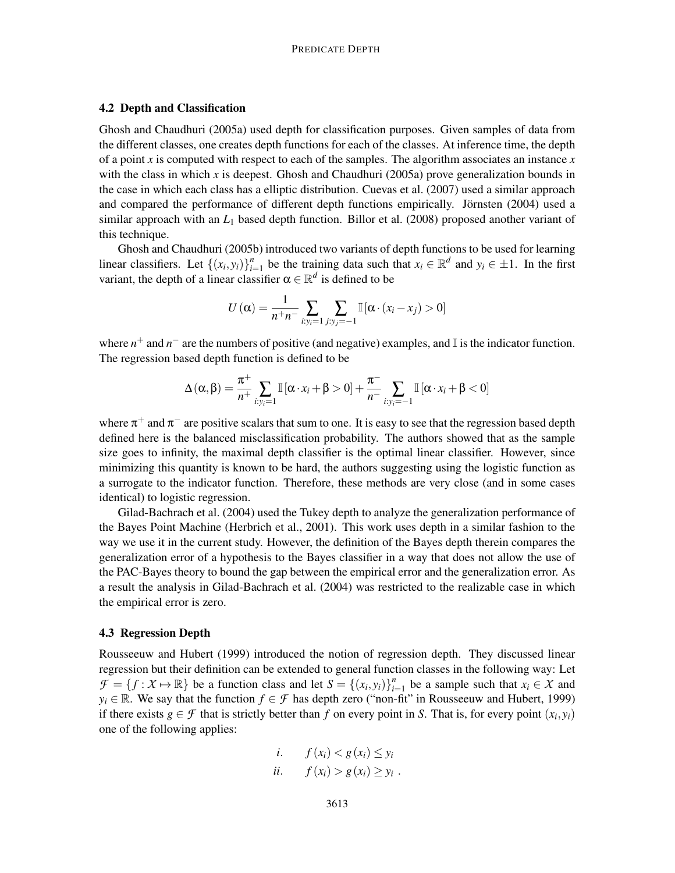# 4.2 Depth and Classification

Ghosh and Chaudhuri (2005a) used depth for classification purposes. Given samples of data from the different classes, one creates depth functions for each of the classes. At inference time, the depth of a point *x* is computed with respect to each of the samples. The algorithm associates an instance *x* with the class in which  $x$  is deepest. Ghosh and Chaudhuri (2005a) prove generalization bounds in the case in which each class has a elliptic distribution. Cuevas et al. (2007) used a similar approach and compared the performance of different depth functions empirically. Jörnsten (2004) used a similar approach with an *L*<sup>1</sup> based depth function. Billor et al. (2008) proposed another variant of this technique.

Ghosh and Chaudhuri (2005b) introduced two variants of depth functions to be used for learning linear classifiers. Let  $\{(x_i, y_i)\}_{i=1}^n$ *i*<sup>n</sup><sub>*i*=1</sub> be the training data such that  $x_i \in \mathbb{R}^d$  and  $y_i \in \pm 1$ . In the first variant, the depth of a linear classifier  $\alpha \in \mathbb{R}^d$  is defined to be

$$
U(\alpha) = \frac{1}{n+n} \sum_{i:y_i=1} \sum_{j:y_j=-1} \mathbb{I}[\alpha \cdot (x_i - x_j) > 0]
$$

where  $n^+$  and  $n^-$  are the numbers of positive (and negative) examples, and I is the indicator function. The regression based depth function is defined to be

$$
\Delta(\alpha, \beta) = \frac{\pi^+}{n^+} \sum_{i: y_i = 1} \mathbb{I}[\alpha \cdot x_i + \beta > 0] + \frac{\pi^-}{n^-} \sum_{i: y_i = -1} \mathbb{I}[\alpha \cdot x_i + \beta < 0]
$$

where  $\pi^+$  and  $\pi^-$  are positive scalars that sum to one. It is easy to see that the regression based depth defined here is the balanced misclassification probability. The authors showed that as the sample size goes to infinity, the maximal depth classifier is the optimal linear classifier. However, since minimizing this quantity is known to be hard, the authors suggesting using the logistic function as a surrogate to the indicator function. Therefore, these methods are very close (and in some cases identical) to logistic regression.

Gilad-Bachrach et al. (2004) used the Tukey depth to analyze the generalization performance of the Bayes Point Machine (Herbrich et al., 2001). This work uses depth in a similar fashion to the way we use it in the current study. However, the definition of the Bayes depth therein compares the generalization error of a hypothesis to the Bayes classifier in a way that does not allow the use of the PAC-Bayes theory to bound the gap between the empirical error and the generalization error. As a result the analysis in Gilad-Bachrach et al. (2004) was restricted to the realizable case in which the empirical error is zero.

#### 4.3 Regression Depth

Rousseeuw and Hubert (1999) introduced the notion of regression depth. They discussed linear regression but their definition can be extended to general function classes in the following way: Let  $\mathcal{F} = \{f : \mathcal{X} \mapsto \mathbb{R}\}$  be a function class and let  $S = \{(x_i, y_i)\}_{i=1}^n$  $\sum_{i=1}^{n}$  be a sample such that  $x_i \in \mathcal{X}$  and  $y_i \in \mathbb{R}$ . We say that the function  $f \in \mathcal{F}$  has depth zero ("non-fit" in Rousseeuw and Hubert, 1999) if there exists  $g \in \mathcal{F}$  that is strictly better than  $f$  on every point in  $S$ . That is, for every point  $(x_i, y_i)$ one of the following applies:

$$
\begin{aligned}\ni. & f(x_i) < g(x_i) \leq y_i \\
ii. & f(x_i) > g(x_i) \geq y_i\n\end{aligned}
$$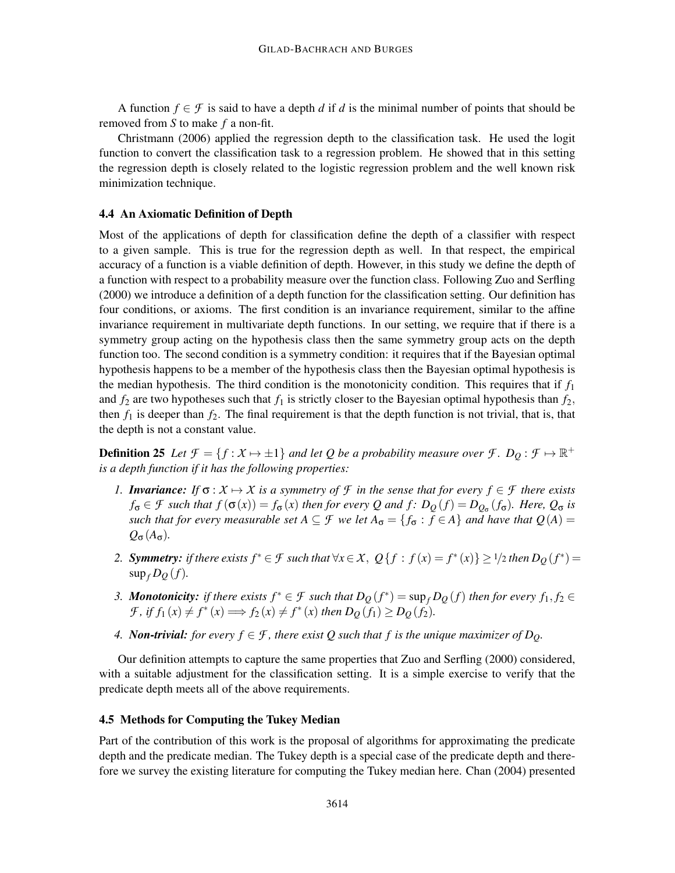A function  $f \in \mathcal{F}$  is said to have a depth *d* if *d* is the minimal number of points that should be removed from *S* to make *f* a non-fit.

Christmann (2006) applied the regression depth to the classification task. He used the logit function to convert the classification task to a regression problem. He showed that in this setting the regression depth is closely related to the logistic regression problem and the well known risk minimization technique.

#### 4.4 An Axiomatic Definition of Depth

Most of the applications of depth for classification define the depth of a classifier with respect to a given sample. This is true for the regression depth as well. In that respect, the empirical accuracy of a function is a viable definition of depth. However, in this study we define the depth of a function with respect to a probability measure over the function class. Following Zuo and Serfling (2000) we introduce a definition of a depth function for the classification setting. Our definition has four conditions, or axioms. The first condition is an invariance requirement, similar to the affine invariance requirement in multivariate depth functions. In our setting, we require that if there is a symmetry group acting on the hypothesis class then the same symmetry group acts on the depth function too. The second condition is a symmetry condition: it requires that if the Bayesian optimal hypothesis happens to be a member of the hypothesis class then the Bayesian optimal hypothesis is the median hypothesis. The third condition is the monotonicity condition. This requires that if  $f_1$ and  $f_2$  are two hypotheses such that  $f_1$  is strictly closer to the Bayesian optimal hypothesis than  $f_2$ , then  $f_1$  is deeper than  $f_2$ . The final requirement is that the depth function is not trivial, that is, that the depth is not a constant value.

**Definition 25** Let  $\mathcal{F} = \{f : \mathcal{X} \mapsto \pm 1\}$  and let Q be a probability measure over  $\mathcal{F}$ .  $D_Q : \mathcal{F} \mapsto \mathbb{R}^+$ *is a depth function if it has the following properties:*

- *1. Invariance:* If  $\sigma: X \mapsto X$  is a symmetry of F in the sense that for every  $f \in \mathcal{F}$  there exists  $f_{\sigma} \in \mathcal{F}$  *such that*  $f(\sigma(x)) = f_{\sigma}(x)$  *then for every Q and*  $f: D_Q(f) = D_{Q_{\sigma}}(f_{\sigma})$ *. Here,*  $Q_{\sigma}$  *is such that for every measurable set*  $A \subseteq \mathcal{F}$  *we let*  $A_{\sigma} = \{f_{\sigma} : f \in A\}$  *and have that*  $Q(A) =$  $Q_{\sigma}(A_{\sigma})$ .
- 2. **Symmetry:** if there exists  $f^* \in \mathcal{F}$  such that  $\forall x \in \mathcal{X}$ ,  $Q\{f : f(x) = f^*(x)\} \ge 1/2$  then  $D_Q(f^*) =$  $\sup_{f} D_Q(f)$ .
- *3. Monotonicity: if there exists*  $f^* \in \mathcal{F}$  *such that*  $D_Q(f^*) = \sup_f D_Q(f)$  *then for every*  $f_1, f_2 \in$  $\mathcal{F}$ *, if*  $f_1(x) \neq f^*(x) \Longrightarrow f_2(x) \neq f^*(x)$  then  $D_Q(f_1) \geq D_Q(f_2)$ *.*
- *4. Non-trivial: for every*  $f \in \mathcal{F}$ *, there exist Q such that f is the unique maximizer of*  $D_Q$ *.*

Our definition attempts to capture the same properties that Zuo and Serfling (2000) considered, with a suitable adjustment for the classification setting. It is a simple exercise to verify that the predicate depth meets all of the above requirements.

#### 4.5 Methods for Computing the Tukey Median

Part of the contribution of this work is the proposal of algorithms for approximating the predicate depth and the predicate median. The Tukey depth is a special case of the predicate depth and therefore we survey the existing literature for computing the Tukey median here. Chan (2004) presented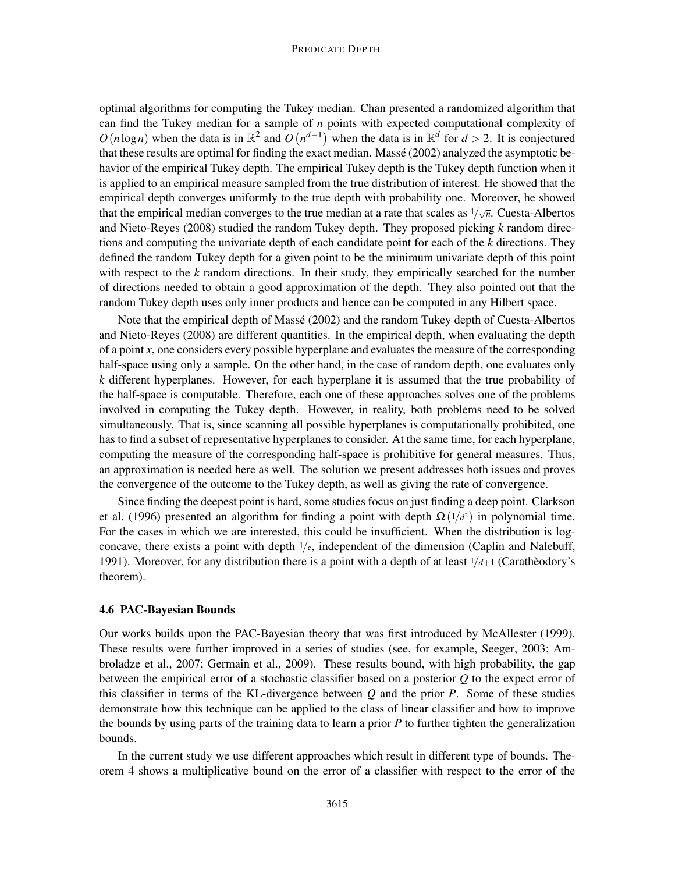#### PREDICATE DEPTH

optimal algorithms for computing the Tukey median. Chan presented a randomized algorithm that can find the Tukey median for a sample of *n* points with expected computational complexity of  $O(n \log n)$  when the data is in  $\mathbb{R}^2$  and  $O(n^{d-1})$  when the data is in  $\mathbb{R}^d$  for  $d > 2$ . It is conjectured that these results are optimal for finding the exact median. Massé (2002) analyzed the asymptotic behavior of the empirical Tukey depth. The empirical Tukey depth is the Tukey depth function when it is applied to an empirical measure sampled from the true distribution of interest. He showed that the empirical depth converges uniformly to the true depth with probability one. Moreover, he showed that the empirical median converges to the true median at a rate that scales as  $1/\sqrt{n}$ . Cuesta-Albertos and Nieto-Reyes (2008) studied the random Tukey depth. They proposed picking *k* random directions and computing the univariate depth of each candidate point for each of the *k* directions. They defined the random Tukey depth for a given point to be the minimum univariate depth of this point with respect to the *k* random directions. In their study, they empirically searched for the number of directions needed to obtain a good approximation of the depth. They also pointed out that the random Tukey depth uses only inner products and hence can be computed in any Hilbert space.

Note that the empirical depth of Massé (2002) and the random Tukey depth of Cuesta-Albertos and Nieto-Reyes (2008) are different quantities. In the empirical depth, when evaluating the depth of a point *x*, one considers every possible hyperplane and evaluates the measure of the corresponding half-space using only a sample. On the other hand, in the case of random depth, one evaluates only *k* different hyperplanes. However, for each hyperplane it is assumed that the true probability of the half-space is computable. Therefore, each one of these approaches solves one of the problems involved in computing the Tukey depth. However, in reality, both problems need to be solved simultaneously. That is, since scanning all possible hyperplanes is computationally prohibited, one has to find a subset of representative hyperplanes to consider. At the same time, for each hyperplane, computing the measure of the corresponding half-space is prohibitive for general measures. Thus, an approximation is needed here as well. The solution we present addresses both issues and proves the convergence of the outcome to the Tukey depth, as well as giving the rate of convergence.

Since finding the deepest point is hard, some studies focus on just finding a deep point. Clarkson et al. (1996) presented an algorithm for finding a point with depth  $\Omega(1/d^2)$  in polynomial time. For the cases in which we are interested, this could be insufficient. When the distribution is logconcave, there exists a point with depth  $1/e$ , independent of the dimension (Caplin and Nalebuff, 1991). Moreover, for any distribution there is a point with a depth of at least  $1/d+1$  (Carathèodory's theorem).

#### 4.6 PAC-Bayesian Bounds

Our works builds upon the PAC-Bayesian theory that was first introduced by McAllester (1999). These results were further improved in a series of studies (see, for example, Seeger, 2003; Ambroladze et al., 2007; Germain et al., 2009). These results bound, with high probability, the gap between the empirical error of a stochastic classifier based on a posterior *Q* to the expect error of this classifier in terms of the KL-divergence between *Q* and the prior *P*. Some of these studies demonstrate how this technique can be applied to the class of linear classifier and how to improve the bounds by using parts of the training data to learn a prior *P* to further tighten the generalization bounds.

In the current study we use different approaches which result in different type of bounds. Theorem 4 shows a multiplicative bound on the error of a classifier with respect to the error of the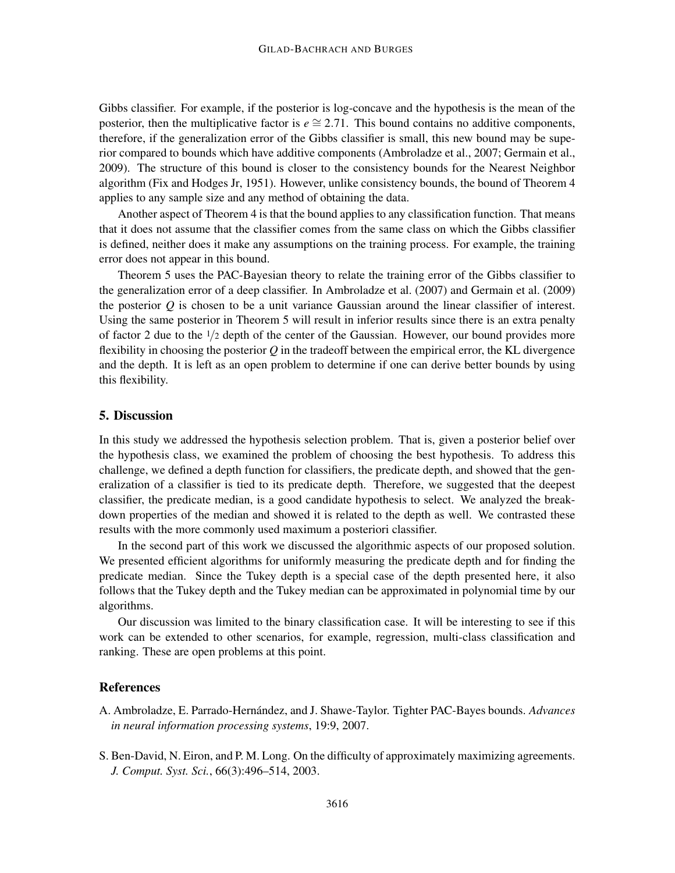Gibbs classifier. For example, if the posterior is log-concave and the hypothesis is the mean of the posterior, then the multiplicative factor is  $e \approx 2.71$ . This bound contains no additive components, therefore, if the generalization error of the Gibbs classifier is small, this new bound may be superior compared to bounds which have additive components (Ambroladze et al., 2007; Germain et al., 2009). The structure of this bound is closer to the consistency bounds for the Nearest Neighbor algorithm (Fix and Hodges Jr, 1951). However, unlike consistency bounds, the bound of Theorem 4 applies to any sample size and any method of obtaining the data.

Another aspect of Theorem 4 is that the bound applies to any classification function. That means that it does not assume that the classifier comes from the same class on which the Gibbs classifier is defined, neither does it make any assumptions on the training process. For example, the training error does not appear in this bound.

Theorem 5 uses the PAC-Bayesian theory to relate the training error of the Gibbs classifier to the generalization error of a deep classifier. In Ambroladze et al. (2007) and Germain et al. (2009) the posterior *Q* is chosen to be a unit variance Gaussian around the linear classifier of interest. Using the same posterior in Theorem 5 will result in inferior results since there is an extra penalty of factor 2 due to the  $1/2$  depth of the center of the Gaussian. However, our bound provides more flexibility in choosing the posterior *Q* in the tradeoff between the empirical error, the KL divergence and the depth. It is left as an open problem to determine if one can derive better bounds by using this flexibility.

## 5. Discussion

In this study we addressed the hypothesis selection problem. That is, given a posterior belief over the hypothesis class, we examined the problem of choosing the best hypothesis. To address this challenge, we defined a depth function for classifiers, the predicate depth, and showed that the generalization of a classifier is tied to its predicate depth. Therefore, we suggested that the deepest classifier, the predicate median, is a good candidate hypothesis to select. We analyzed the breakdown properties of the median and showed it is related to the depth as well. We contrasted these results with the more commonly used maximum a posteriori classifier.

In the second part of this work we discussed the algorithmic aspects of our proposed solution. We presented efficient algorithms for uniformly measuring the predicate depth and for finding the predicate median. Since the Tukey depth is a special case of the depth presented here, it also follows that the Tukey depth and the Tukey median can be approximated in polynomial time by our algorithms.

Our discussion was limited to the binary classification case. It will be interesting to see if this work can be extended to other scenarios, for example, regression, multi-class classification and ranking. These are open problems at this point.

# References

- A. Ambroladze, E. Parrado-Hernández, and J. Shawe-Taylor. Tighter PAC-Bayes bounds. *Advances in neural information processing systems*, 19:9, 2007.
- S. Ben-David, N. Eiron, and P. M. Long. On the difficulty of approximately maximizing agreements. *J. Comput. Syst. Sci.*, 66(3):496–514, 2003.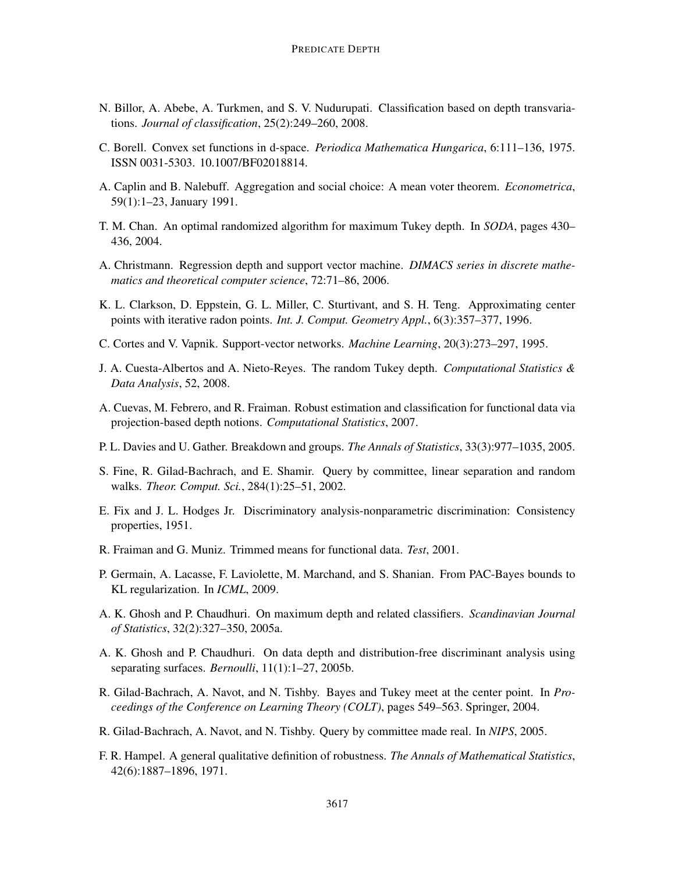- N. Billor, A. Abebe, A. Turkmen, and S. V. Nudurupati. Classification based on depth transvariations. *Journal of classification*, 25(2):249–260, 2008.
- C. Borell. Convex set functions in d-space. *Periodica Mathematica Hungarica*, 6:111–136, 1975. ISSN 0031-5303. 10.1007/BF02018814.
- A. Caplin and B. Nalebuff. Aggregation and social choice: A mean voter theorem. *Econometrica*, 59(1):1–23, January 1991.
- T. M. Chan. An optimal randomized algorithm for maximum Tukey depth. In *SODA*, pages 430– 436, 2004.
- A. Christmann. Regression depth and support vector machine. *DIMACS series in discrete mathematics and theoretical computer science*, 72:71–86, 2006.
- K. L. Clarkson, D. Eppstein, G. L. Miller, C. Sturtivant, and S. H. Teng. Approximating center points with iterative radon points. *Int. J. Comput. Geometry Appl.*, 6(3):357–377, 1996.
- C. Cortes and V. Vapnik. Support-vector networks. *Machine Learning*, 20(3):273–297, 1995.
- J. A. Cuesta-Albertos and A. Nieto-Reyes. The random Tukey depth. *Computational Statistics & Data Analysis*, 52, 2008.
- A. Cuevas, M. Febrero, and R. Fraiman. Robust estimation and classification for functional data via projection-based depth notions. *Computational Statistics*, 2007.
- P. L. Davies and U. Gather. Breakdown and groups. *The Annals of Statistics*, 33(3):977–1035, 2005.
- S. Fine, R. Gilad-Bachrach, and E. Shamir. Query by committee, linear separation and random walks. *Theor. Comput. Sci.*, 284(1):25–51, 2002.
- E. Fix and J. L. Hodges Jr. Discriminatory analysis-nonparametric discrimination: Consistency properties, 1951.
- R. Fraiman and G. Muniz. Trimmed means for functional data. *Test*, 2001.
- P. Germain, A. Lacasse, F. Laviolette, M. Marchand, and S. Shanian. From PAC-Bayes bounds to KL regularization. In *ICML*, 2009.
- A. K. Ghosh and P. Chaudhuri. On maximum depth and related classifiers. *Scandinavian Journal of Statistics*, 32(2):327–350, 2005a.
- A. K. Ghosh and P. Chaudhuri. On data depth and distribution-free discriminant analysis using separating surfaces. *Bernoulli*, 11(1):1–27, 2005b.
- R. Gilad-Bachrach, A. Navot, and N. Tishby. Bayes and Tukey meet at the center point. In *Proceedings of the Conference on Learning Theory (COLT)*, pages 549–563. Springer, 2004.
- R. Gilad-Bachrach, A. Navot, and N. Tishby. Query by committee made real. In *NIPS*, 2005.
- F. R. Hampel. A general qualitative definition of robustness. *The Annals of Mathematical Statistics*, 42(6):1887–1896, 1971.